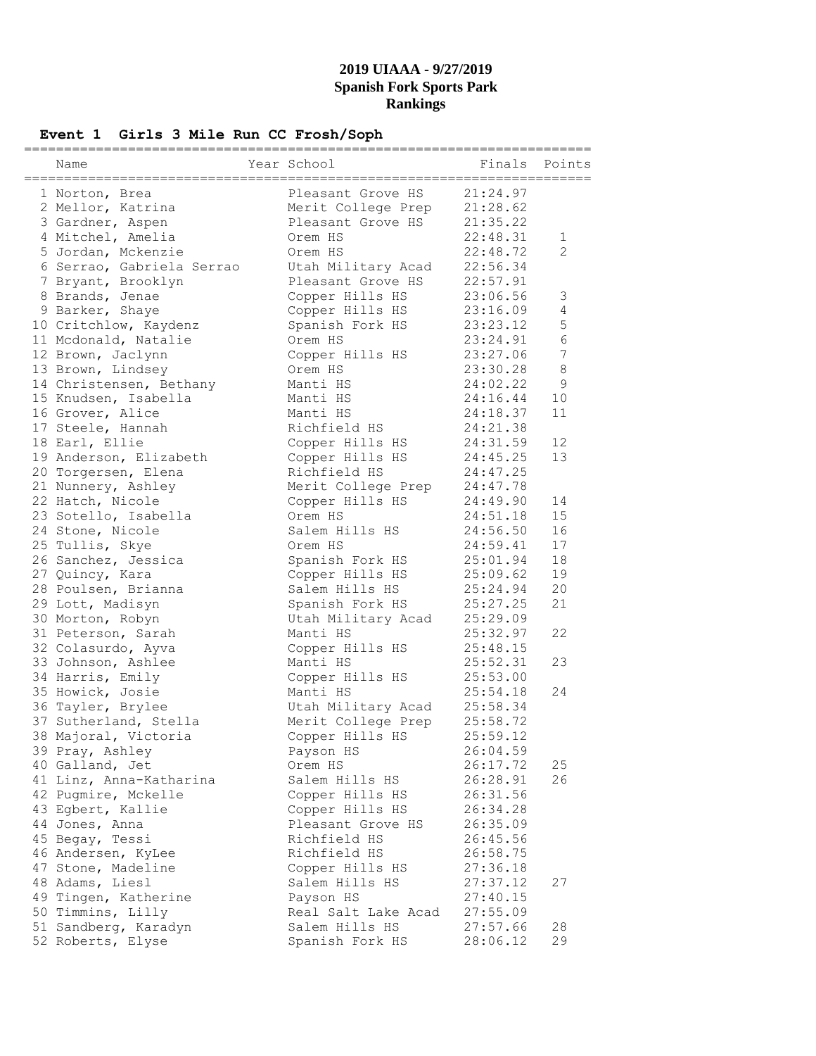# **Event 1 Girls 3 Mile Run CC Frosh/Soph**

| Name                      | Year School         | Finals   | Points         |
|---------------------------|---------------------|----------|----------------|
| 1 Norton, Brea            | Pleasant Grove HS   | 21:24.97 |                |
| 2 Mellor, Katrina         | Merit College Prep  | 21:28.62 |                |
| 3 Gardner, Aspen          | Pleasant Grove HS   | 21:35.22 |                |
| 4 Mitchel, Amelia         | Orem HS             | 22:48.31 | $\mathbf{1}$   |
| 5 Jordan, Mckenzie        | Orem HS             | 22:48.72 | $\overline{2}$ |
| 6 Serrao, Gabriela Serrao | Utah Military Acad  | 22:56.34 |                |
| 7 Bryant, Brooklyn        | Pleasant Grove HS   | 22:57.91 |                |
| 8 Brands, Jenae           | Copper Hills HS     | 23:06.56 | 3              |
| 9 Barker, Shaye           | Copper Hills HS     | 23:16.09 | $\overline{4}$ |
| 10 Critchlow, Kaydenz     | Spanish Fork HS     | 23:23.12 | 5              |
| 11 Mcdonald, Natalie      | Orem HS             | 23:24.91 | 6              |
| 12 Brown, Jaclynn         | Copper Hills HS     | 23:27.06 | 7              |
| 13 Brown, Lindsey         | Orem HS             | 23:30.28 | 8              |
| 14 Christensen, Bethany   | Manti HS            | 24:02.22 | 9              |
| 15 Knudsen, Isabella      | Manti HS            | 24:16.44 | 10             |
| 16 Grover, Alice          | Manti HS            | 24:18.37 | 11             |
| 17 Steele, Hannah         | Richfield HS        | 24:21.38 |                |
| 18 Earl, Ellie            | Copper Hills HS     | 24:31.59 | 12             |
| 19 Anderson, Elizabeth    | Copper Hills HS     | 24:45.25 | 13             |
| 20 Torgersen, Elena       | Richfield HS        | 24:47.25 |                |
| 21 Nunnery, Ashley        | Merit College Prep  | 24:47.78 |                |
| 22 Hatch, Nicole          | Copper Hills HS     | 24:49.90 | 14             |
| 23 Sotello, Isabella      | Orem HS             | 24:51.18 | 15             |
|                           | Salem Hills HS      | 24:56.50 | 16             |
| 24 Stone, Nicole          |                     |          |                |
| 25 Tullis, Skye           | Orem HS             | 24:59.41 | 17             |
| 26 Sanchez, Jessica       | Spanish Fork HS     | 25:01.94 | 18             |
| 27 Quincy, Kara           | Copper Hills HS     | 25:09.62 | 19             |
| 28 Poulsen, Brianna       | Salem Hills HS      | 25:24.94 | 20             |
| 29 Lott, Madisyn          | Spanish Fork HS     | 25:27.25 | 21             |
| 30 Morton, Robyn          | Utah Military Acad  | 25:29.09 |                |
| 31 Peterson, Sarah        | Manti HS            | 25:32.97 | 22             |
| 32 Colasurdo, Ayva        | Copper Hills HS     | 25:48.15 |                |
| 33 Johnson, Ashlee        | Manti HS            | 25:52.31 | 23             |
| 34 Harris, Emily          | Copper Hills HS     | 25:53.00 |                |
| 35 Howick, Josie          | Manti HS            | 25:54.18 | 24             |
| 36 Tayler, Brylee         | Utah Military Acad  | 25:58.34 |                |
| 37 Sutherland, Stella     | Merit College Prep  | 25:58.72 |                |
| 38 Majoral, Victoria      | Copper Hills HS     | 25:59.12 |                |
| 39 Pray, Ashley           | Payson HS           | 26:04.59 |                |
| 40 Galland, Jet           | Orem HS             | 26:17.72 | 25             |
| 41 Linz, Anna-Katharina   | Salem Hills HS      | 26:28.91 | 26             |
| 42 Pugmire, Mckelle       | Copper Hills HS     | 26:31.56 |                |
| 43 Egbert, Kallie         | Copper Hills HS     | 26:34.28 |                |
| 44 Jones, Anna            | Pleasant Grove HS   | 26:35.09 |                |
| 45 Begay, Tessi           | Richfield HS        | 26:45.56 |                |
| 46 Andersen, KyLee        | Richfield HS        | 26:58.75 |                |
| 47 Stone, Madeline        | Copper Hills HS     | 27:36.18 |                |
| 48 Adams, Liesl           | Salem Hills HS      | 27:37.12 | 27             |
| 49 Tingen, Katherine      | Payson HS           | 27:40.15 |                |
| 50 Timmins, Lilly         | Real Salt Lake Acad | 27:55.09 |                |
| 51 Sandberg, Karadyn      | Salem Hills HS      | 27:57.66 | 28             |
| 52 Roberts, Elyse         | Spanish Fork HS     | 28:06.12 | 29             |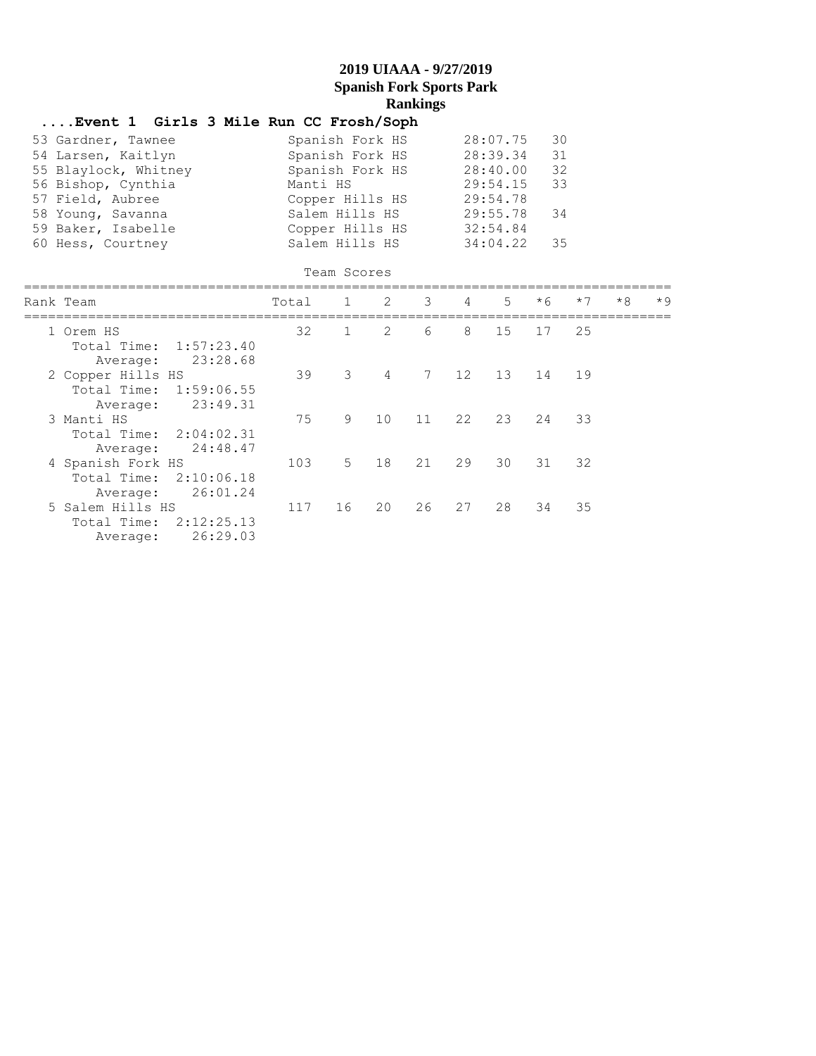## **....Event 1 Girls 3 Mile Run CC Frosh/Soph**

| 53 Gardner, Tawnee   | Spanish Fork HS | 28:07.75 | 30  |
|----------------------|-----------------|----------|-----|
| 54 Larsen, Kaitlyn   | Spanish Fork HS | 28:39.34 | 31  |
| 55 Blaylock, Whitney | Spanish Fork HS | 28:40.00 | 32  |
| 56 Bishop, Cynthia   | Manti HS        | 29:54.15 | 33  |
| 57 Field, Aubree     | Copper Hills HS | 29:54.78 |     |
| 58 Young, Savanna    | Salem Hills HS  | 29:55.78 | -34 |
| 59 Baker, Isabelle   | Copper Hills HS | 32:54.84 |     |
| 60 Hess, Courtney    | Salem Hills HS  | 34:04.22 | 35  |

| Team Scores                                                            |       |              |                         |    |                |                |                            |      |      |      |
|------------------------------------------------------------------------|-------|--------------|-------------------------|----|----------------|----------------|----------------------------|------|------|------|
| Rank Team<br>=========                                                 | Total | 1            | $\overline{\mathbf{c}}$ | 3  | $\overline{4}$ | 5 <sub>1</sub> | $*6$<br>================== | $*7$ | $*8$ | $*9$ |
| 1 Orem HS<br>Total Time: 1:57:23.40<br>23:28.68<br>Average:            | 32    | $\mathbf{1}$ | 2                       | 6  | 8              | 15             | 17                         | 25   |      |      |
| 2 Copper Hills HS<br>Total Time: 1:59:06.55<br>23:49.31<br>Average:    | 39    | 3            | 4                       |    | 7 12           | 13             | 14 19                      |      |      |      |
| 3 Manti HS<br>Total Time: 2:04:02.31<br>24:48.47<br>Average:           | 75    | 9            | 10                      | 11 | 22             |                | 23 24 33                   |      |      |      |
| 4 Spanish Fork HS<br>Total Time:<br>2:10:06.18<br>26:01.24<br>Average: | 103   | $5 -$        | 18                      | 21 | 29             | 30             | 31                         | 32   |      |      |
| 5 Salem Hills HS<br>Total Time:<br>2:12:25.13<br>26:29.03<br>Average:  | 117   | 16           | 20                      | 26 | 27             | 28             | 34                         | 35   |      |      |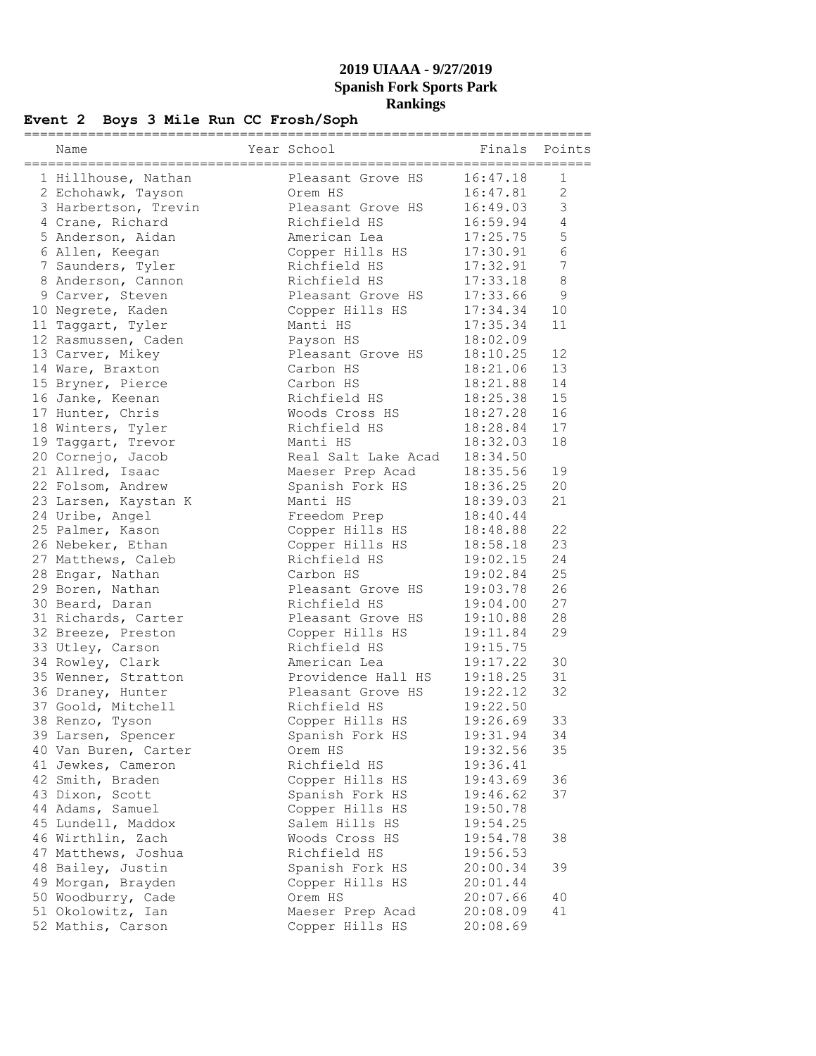## **Event 2 Boys 3 Mile Run CC Frosh/Soph**

| Name                                   | Year School                       |                      | Finals Points<br>====== |
|----------------------------------------|-----------------------------------|----------------------|-------------------------|
| 1 Hillhouse, Nathan                    | Pleasant Grove HS                 | 16:47.18             | 1                       |
| 2 Echohawk, Tayson                     | Orem HS                           | 16:47.81             | 2                       |
| 3 Harbertson, Trevin                   | Pleasant Grove HS                 | 16:49.03             | 3                       |
| 4 Crane, Richard                       | Richfield HS                      | 16:59.94             | $\overline{4}$          |
| 5 Anderson, Aidan                      | American Lea                      | 17:25.75             | 5                       |
| 6 Allen, Keegan                        | Copper Hills HS                   | 17:30.91             | 6                       |
| 7 Saunders, Tyler                      | Richfield HS                      | 17:32.91             | 7                       |
| 8 Anderson, Cannon                     | Richfield HS                      | 17:33.18             | $\,8\,$                 |
| 9 Carver, Steven                       | Pleasant Grove HS                 | 17:33.66             | 9                       |
| 10 Negrete, Kaden                      | Copper Hills HS                   | 17:34.34             | 10                      |
| 11 Taggart, Tyler                      | Manti HS                          | 17:35.34             | 11                      |
| 12 Rasmussen, Caden                    | Payson HS                         | 18:02.09             |                         |
| 13 Carver, Mikey                       | Pleasant Grove HS                 | 18:10.25             | 12                      |
| 14 Ware, Braxton                       | Carbon HS                         | 18:21.06             | 13                      |
| 15 Bryner, Pierce                      | Carbon HS                         | 18:21.88             | 14                      |
| 16 Janke, Keenan                       | Richfield HS                      | 18:25.38             | 15                      |
| 17 Hunter, Chris                       | Woods Cross HS                    | 18:27.28             | 16                      |
| 18 Winters, Tyler                      | Richfield HS                      | 18:28.84             | 17                      |
| 19 Taggart, Trevor                     | Manti HS                          | 18:32.03             | 18                      |
| 20 Cornejo, Jacob                      | Real Salt Lake Acad               | 18:34.50             |                         |
| 21 Allred, Isaac                       | Maeser Prep Acad                  | 18:35.56             | 19                      |
| 22 Folsom, Andrew                      | Spanish Fork HS                   | 18:36.25             | 20                      |
| 23 Larsen, Kaystan K                   | Manti HS                          | 18:39.03             | 21                      |
| 24 Uribe, Angel                        | Freedom Prep                      | 18:40.44             |                         |
| 25 Palmer, Kason                       | Copper Hills HS                   | 18:48.88             | 22                      |
| 26 Nebeker, Ethan                      | Copper Hills HS                   | 18:58.18             | 23                      |
| 27 Matthews, Caleb                     | Richfield HS                      | 19:02.15             | 24                      |
| 28 Engar, Nathan                       | Carbon HS                         | 19:02.84             | 25                      |
| 29 Boren, Nathan                       | Pleasant Grove HS<br>Richfield HS | 19:03.78             | 26                      |
| 30 Beard, Daran<br>31 Richards, Carter |                                   | 19:04.00             | 27<br>28                |
|                                        | Pleasant Grove HS                 | 19:10.88             | 29                      |
| 32 Breeze, Preston<br>33 Utley, Carson | Copper Hills HS<br>Richfield HS   | 19:11.84<br>19:15.75 |                         |
| 34 Rowley, Clark                       | American Lea                      | 19:17.22             | 30                      |
| 35 Wenner, Stratton                    | Providence Hall HS                | 19:18.25             | 31                      |
| 36 Draney, Hunter                      | Pleasant Grove HS                 | 19:22.12             | 32                      |
| 37 Goold, Mitchell                     | Richfield HS                      | 19:22.50             |                         |
| 38 Renzo, Tyson                        | Copper Hills HS                   | 19:26.69             | 33                      |
| 39 Larsen, Spencer                     | Spanish Fork HS                   | 19:31.94             | 34                      |
| 40 Van Buren, Carter                   | Orem HS                           | 19:32.56             | 35                      |
| 41 Jewkes, Cameron                     | Richfield HS                      | 19:36.41             |                         |
| 42 Smith, Braden                       | Copper Hills HS                   | 19:43.69             | 36                      |
| 43 Dixon, Scott                        | Spanish Fork HS                   | 19:46.62             | 37                      |
| 44 Adams, Samuel                       | Copper Hills HS                   | 19:50.78             |                         |
| 45 Lundell, Maddox                     | Salem Hills HS                    | 19:54.25             |                         |
| 46 Wirthlin, Zach                      | Woods Cross HS                    | 19:54.78             | 38                      |
| 47 Matthews, Joshua                    | Richfield HS                      | 19:56.53             |                         |
| 48 Bailey, Justin                      | Spanish Fork HS                   | 20:00.34             | 39                      |
| 49 Morgan, Brayden                     | Copper Hills HS                   | 20:01.44             |                         |
| 50 Woodburry, Cade                     | Orem HS                           | 20:07.66             | 40                      |
| 51 Okolowitz, Ian                      | Maeser Prep Acad                  | 20:08.09             | 41                      |
| 52 Mathis, Carson                      | Copper Hills HS                   | 20:08.69             |                         |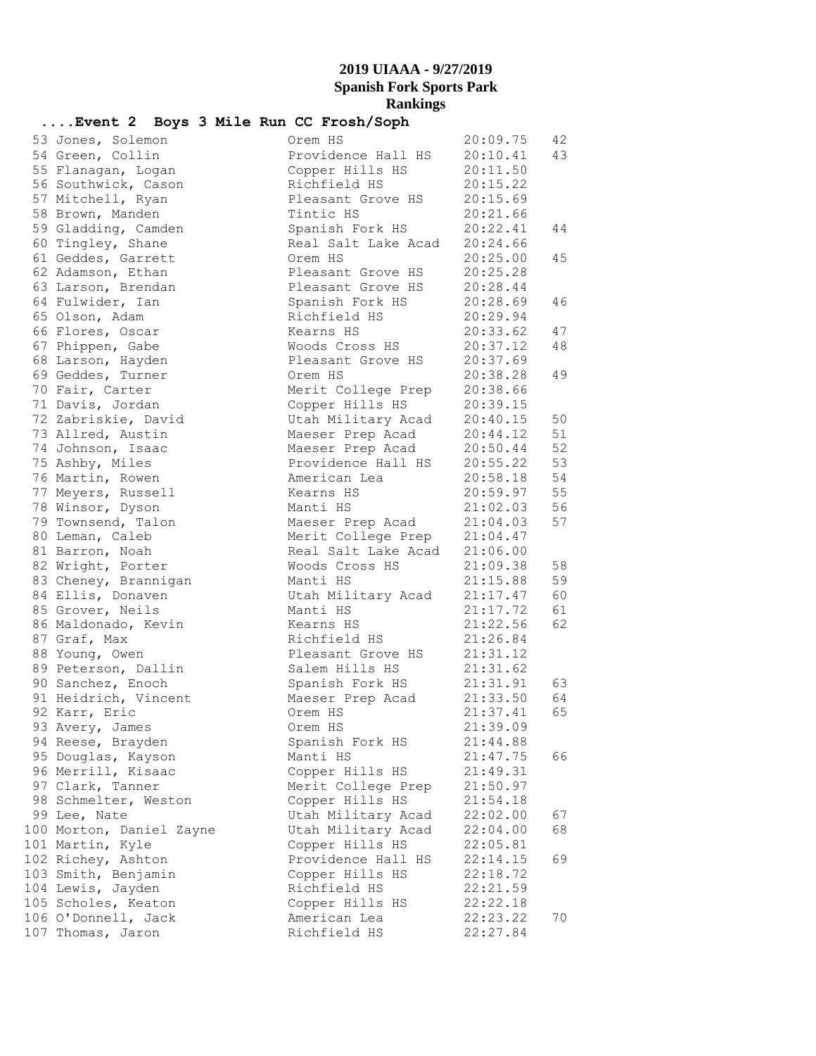# **....Event 2 Boys 3 Mile Run CC Frosh/Soph**

| 53 Jones, Solemon        | Orem HS             | 20:09.75             | 42 |
|--------------------------|---------------------|----------------------|----|
| 54 Green, Collin         | Providence Hall HS  | 20:10.41             | 43 |
| 55 Flanagan, Logan       | Copper Hills HS     | 20:11.50             |    |
| 56 Southwick, Cason      | Richfield HS        | 20:15.22             |    |
| 57 Mitchell, Ryan        | Pleasant Grove HS   | 20:15.69             |    |
| 58 Brown, Manden         | Tintic HS           | 20:21.66             |    |
| 59 Gladding, Camden      | Spanish Fork HS     | 20:22.41             | 44 |
| 60 Tingley, Shane        | Real Salt Lake Acad | 20:24.66             |    |
| 61 Geddes, Garrett       | Orem HS             | 20:25.00             | 45 |
| 62 Adamson, Ethan        | Pleasant Grove HS   | 20:25.28             |    |
| 63 Larson, Brendan       | Pleasant Grove HS   | 20:28.44             |    |
| 64 Fulwider, Ian         | Spanish Fork HS     | 20:28.69             | 46 |
| 65 Olson, Adam           | Richfield HS        | 20:29.94             |    |
| 66 Flores, Oscar         | Kearns HS           | 20:33.62             | 47 |
| 67 Phippen, Gabe         | Woods Cross HS      | 20:37.12             | 48 |
| 68 Larson, Hayden        | Pleasant Grove HS   | 20:37.69             |    |
| 69 Geddes, Turner        | Orem HS             | 20:38.28             | 49 |
| 70 Fair, Carter          | Merit College Prep  | 20:38.66             |    |
| 71 Davis, Jordan         | Copper Hills HS     | 20:39.15             |    |
| 72 Zabriskie, David      | Utah Military Acad  | 20:40.15             | 50 |
| 73 Allred, Austin        | Maeser Prep Acad    | 20:44.12             | 51 |
| 74 Johnson, Isaac        | Maeser Prep Acad    | 20:50.44             | 52 |
| 75 Ashby, Miles          | Providence Hall HS  | 20:55.22             | 53 |
| 76 Martin, Rowen         | American Lea        | 20:58.18             | 54 |
| 77 Meyers, Russell       | Kearns HS           | 20:59.97             | 55 |
| 78 Winsor, Dyson         | Manti HS            | 21:02.03             | 56 |
| 79 Townsend, Talon       | Maeser Prep Acad    | 21:04.03             | 57 |
| 80 Leman, Caleb          | Merit College Prep  | 21:04.47             |    |
| 81 Barron, Noah          | Real Salt Lake Acad | 21:06.00             |    |
| 82 Wright, Porter        | Woods Cross HS      | 21:09.38             | 58 |
| 83 Cheney, Brannigan     | Manti HS            | 21:15.88             | 59 |
| 84 Ellis, Donaven        | Utah Military Acad  | 21:17.47             | 60 |
| 85 Grover, Neils         | Manti HS            | 21:17.72             | 61 |
| 86 Maldonado, Kevin      | Kearns HS           | 21:22.56             | 62 |
| 87 Graf, Max             | Richfield HS        | 21:26.84             |    |
| 88 Young, Owen           | Pleasant Grove HS   | 21:31.12             |    |
| 89 Peterson, Dallin      | Salem Hills HS      | 21:31.62             |    |
| 90 Sanchez, Enoch        | Spanish Fork HS     |                      | 63 |
| 91 Heidrich, Vincent     | Maeser Prep Acad    | 21:31.91<br>21:33.50 | 64 |
| 92 Karr, Eric            | Orem HS             | 21:37.41             | 65 |
| 93 Avery, James          | Orem HS             | 21:39.09             |    |
| 94 Reese, Brayden        | Spanish Fork HS     | 21:44.88             |    |
| 95 Douglas, Kayson       | Manti HS            | 21:47.75             | 66 |
| 96 Merrill, Kisaac       | Copper Hills HS     | 21:49.31             |    |
| 97 Clark, Tanner         | Merit College Prep  | 21:50.97             |    |
| 98 Schmelter, Weston     | Copper Hills HS     | 21:54.18             |    |
| 99 Lee, Nate             | Utah Military Acad  | 22:02.00             | 67 |
| 100 Morton, Daniel Zayne | Utah Military Acad  | 22:04.00             | 68 |
| 101 Martin, Kyle         | Copper Hills HS     | 22:05.81             |    |
| 102 Richey, Ashton       | Providence Hall HS  | 22:14.15             | 69 |
| 103 Smith, Benjamin      | Copper Hills HS     | 22:18.72             |    |
| 104 Lewis, Jayden        | Richfield HS        | 22:21.59             |    |
| 105 Scholes, Keaton      | Copper Hills HS     | 22:22.18             |    |
| 106 O'Donnell, Jack      | American Lea        | 22:23.22             | 70 |
| 107 Thomas, Jaron        | Richfield HS        | 22:27.84             |    |
|                          |                     |                      |    |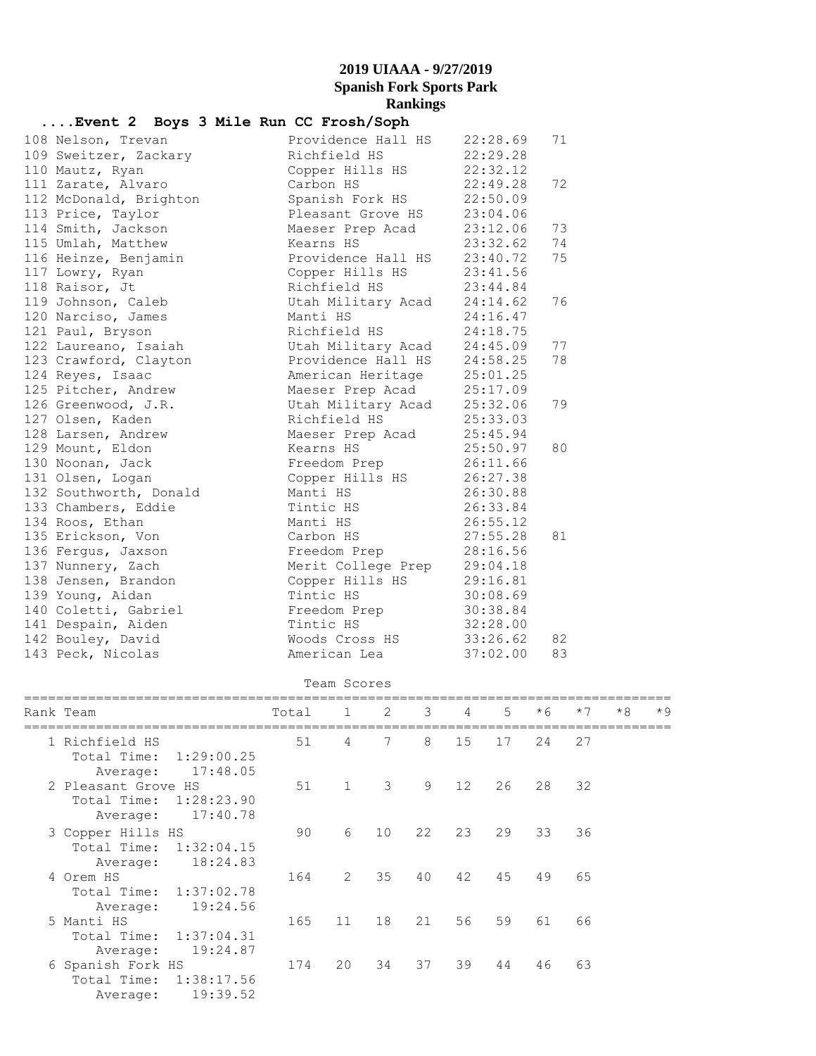#### **....Event 2 Boys 3 Mile Run CC Frosh/Soph**

| 108 Nelson, Trevan     | Providence Hall HS 22:28.69 |          | 71 |
|------------------------|-----------------------------|----------|----|
| 109 Sweitzer, Zackary  | Richfield HS                | 22:29.28 |    |
| 110 Mautz, Ryan        | Copper Hills HS             | 22:32.12 |    |
| 111 Zarate, Alvaro     | Carbon HS                   | 22:49.28 | 72 |
| 112 McDonald, Brighton | Spanish Fork HS             | 22:50.09 |    |
| 113 Price, Taylor      | Pleasant Grove HS           | 23:04.06 |    |
| 114 Smith, Jackson     | Maeser Prep Acad            | 23:12.06 | 73 |
| 115 Umlah, Matthew     | Kearns HS                   | 23:32.62 | 74 |
| 116 Heinze, Benjamin   | Providence Hall HS 23:40.72 |          | 75 |
| 117 Lowry, Ryan        | Copper Hills HS 23:41.56    |          |    |
| 118 Raisor, Jt         | Richfield HS                | 23:44.84 |    |
| 119 Johnson, Caleb     | Utah Military Acad 24:14.62 |          | 76 |
| 120 Narciso, James     | Manti HS<br>24:16.47        |          |    |
| 121 Paul, Bryson       | Richfield HS 24:18.75       |          |    |
| 122 Laureano, Isaiah   | Utah Military Acad 24:45.09 |          | 77 |
| 123 Crawford, Clayton  | Providence Hall HS 24:58.25 |          | 78 |
| 124 Reyes, Isaac       | American Heritage 25:01.25  |          |    |
| 125 Pitcher, Andrew    | Maeser Prep Acad 25:17.09   |          |    |
| 126 Greenwood, J.R.    | Utah Military Acad 25:32.06 |          | 79 |
| 127 Olsen, Kaden       | Richfield HS                | 25:33.03 |    |
| 128 Larsen, Andrew     | Maeser Prep Acad 25:45.94   |          |    |
| 129 Mount, Eldon       | 25:50.97<br>Kearns HS       |          | 80 |
| 130 Noonan, Jack       | Freedom Prep 26:11.66       |          |    |
| 131 Olsen, Logan       | Copper Hills HS 26:27.38    |          |    |
| 132 Southworth, Donald | Manti HS                    | 26:30.88 |    |
| 133 Chambers, Eddie    | Tintic HS                   | 26:33.84 |    |
| 134 Roos, Ethan        | Manti HS                    | 26:55.12 |    |
| 135 Erickson, Von      | Carbon HS                   | 27:55.28 | 81 |
| 136 Fergus, Jaxson     | Freedom Prep                | 28:16.56 |    |
| 137 Nunnery, Zach      | Merit College Prep          | 29:04.18 |    |
| 138 Jensen, Brandon    | Copper Hills HS             | 29:16.81 |    |
| 139 Young, Aidan       | Tintic HS                   | 30:08.69 |    |
| 140 Coletti, Gabriel   | Freedom Prep                | 30:38.84 |    |
| 141 Despain, Aiden     | Tintic HS                   | 32:28.00 |    |
| 142 Bouley, David      | Woods Cross HS 33:26.62     |          | 82 |
| 143 Peck, Nicolas      | American Lea                | 37:02.00 | 83 |
|                        |                             |          |    |

#### Team Scores

|  | Rank Team                 | Total | $1 \quad \blacksquare$ | $\overline{2}$ | 3 <sup>7</sup> | $\overline{4}$    | .5 | $*6$ | $*7$ | $*8$ | $*9$ |
|--|---------------------------|-------|------------------------|----------------|----------------|-------------------|----|------|------|------|------|
|  | 1 Richfield HS            | 51    | 4                      | 7              | 8              | 15                | 17 | 24   | 27   |      |      |
|  | Total Time:<br>1:29:00.25 |       |                        |                |                |                   |    |      |      |      |      |
|  | 17:48.05<br>Average:      |       |                        |                |                |                   |    |      |      |      |      |
|  | 2 Pleasant Grove HS       | 51    | $\mathbf{1}$           | 3              | 9              | $12 \overline{ }$ | 26 | 28   | 32   |      |      |
|  | Total Time: 1:28:23.90    |       |                        |                |                |                   |    |      |      |      |      |
|  | 17:40.78<br>Average:      |       |                        |                |                |                   |    |      |      |      |      |
|  | 3 Copper Hills HS         | 90    | 6                      | 10             | 22             | 23                | 29 | 33   | 36   |      |      |
|  | Total Time: 1:32:04.15    |       |                        |                |                |                   |    |      |      |      |      |
|  | 18:24.83<br>Average:      |       |                        |                |                |                   |    |      |      |      |      |
|  | 4 Orem HS                 | 164   | $\mathcal{L}$          | 35             | 40             | 42                | 45 | 49   | 65   |      |      |
|  | Total Time: 1:37:02.78    |       |                        |                |                |                   |    |      |      |      |      |
|  | 19:24.56<br>Average:      |       |                        |                |                |                   |    |      |      |      |      |
|  | 5 Manti HS                | 165   | 11                     | 18             | 21             | 56                | 59 | 61   | 66   |      |      |
|  | Total Time:<br>1:37:04.31 |       |                        |                |                |                   |    |      |      |      |      |
|  | 19:24.87<br>Average:      |       |                        |                |                |                   |    |      |      |      |      |
|  | 6 Spanish Fork HS         | 174   | 20                     | 34             | 37             | 39                | 44 | 46   | 63   |      |      |
|  | Total Time: 1:38:17.56    |       |                        |                |                |                   |    |      |      |      |      |
|  | 19:39.52<br>Average:      |       |                        |                |                |                   |    |      |      |      |      |
|  |                           |       |                        |                |                |                   |    |      |      |      |      |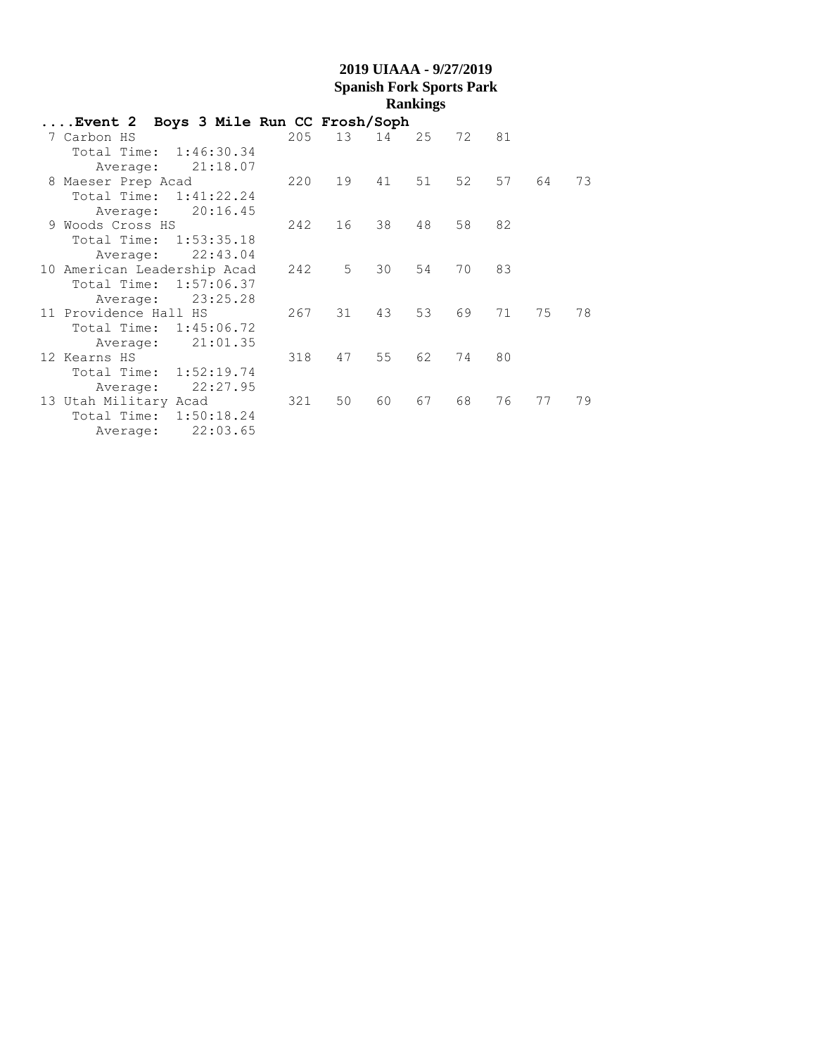| Event 2 Boys 3 Mile Run CC Frosh/Soph |     |    |    |    |    |      |    |    |
|---------------------------------------|-----|----|----|----|----|------|----|----|
| 7 Carbon HS                           | 205 | 13 | 14 | 25 | 72 | 81   |    |    |
| Total Time: 1:46:30.34                |     |    |    |    |    |      |    |    |
| Average: 21:18.07                     |     |    |    |    |    |      |    |    |
| 8 Maeser Prep Acad                    | 220 | 19 | 41 | 51 | 52 | 57   | 64 | 73 |
| Total Time: 1:41:22.24                |     |    |    |    |    |      |    |    |
| 20:16.45<br>Average:                  |     |    |    |    |    |      |    |    |
| 9 Woods Cross HS                      | 242 | 16 | 38 | 48 | 58 | - 82 |    |    |
| Total Time: 1:53:35.18                |     |    |    |    |    |      |    |    |
| 22:43.04<br>Average:                  |     |    |    |    |    |      |    |    |
| 10 American Leadership Acad           | 242 | 5  | 30 | 54 | 70 | 83   |    |    |
| Total Time: 1:57:06.37                |     |    |    |    |    |      |    |    |
| 23:25.28<br>Average:                  |     |    |    |    |    |      |    |    |
| 11 Providence Hall HS                 | 267 | 31 | 43 | 53 | 69 | 71   | 75 | 78 |
| Total Time: 1:45:06.72                |     |    |    |    |    |      |    |    |
| 21:01.35<br>Average:                  |     |    |    |    |    |      |    |    |
| 12 Kearns HS                          | 318 | 47 | 55 | 62 | 74 | 80   |    |    |
| Total Time: 1:52:19.74                |     |    |    |    |    |      |    |    |
| 22:27.95<br>Average:                  |     |    |    |    |    |      |    |    |
| 13 Utah Military Acad                 | 321 | 50 | 60 | 67 | 68 | 76   | 77 | 79 |
| 1:50:18.24<br>Total Time:             |     |    |    |    |    |      |    |    |
| 22:03.65<br>Average:                  |     |    |    |    |    |      |    |    |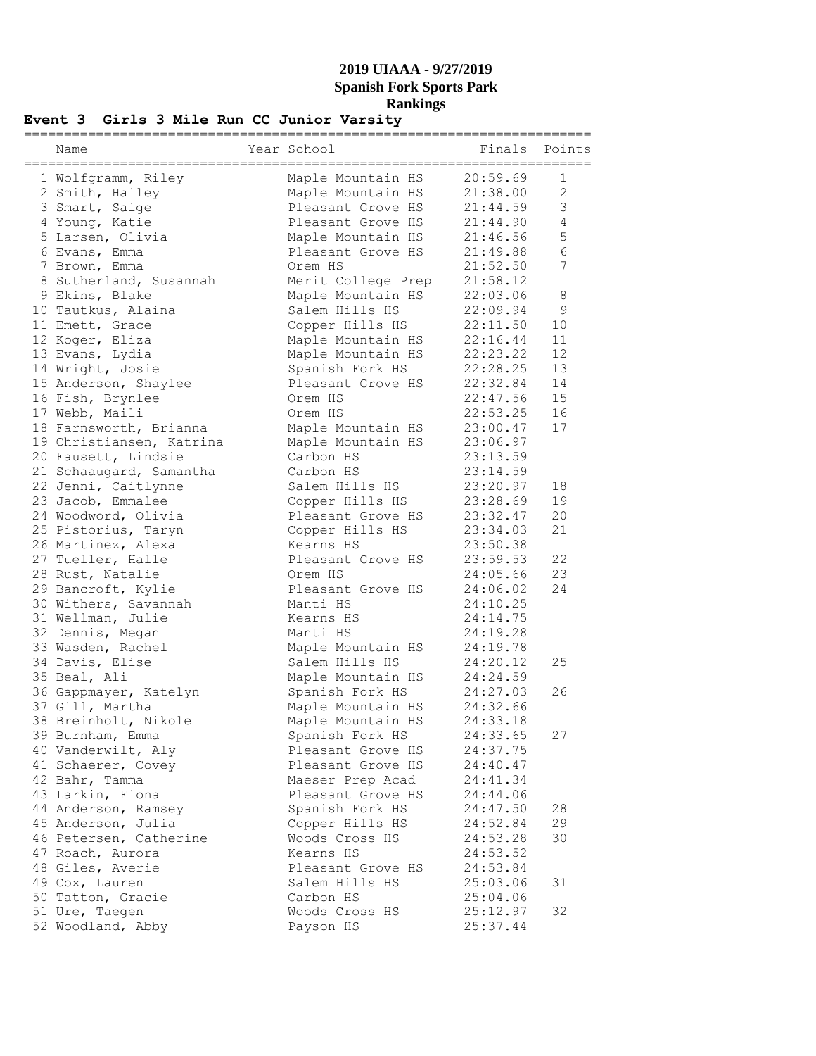#### **Event 3 Girls 3 Mile Run CC Junior Varsity**

| Name                     | Year School                    |                      | Finals Points  |
|--------------------------|--------------------------------|----------------------|----------------|
| 1 Wolfgramm, Riley       | Maple Mountain HS              | 20:59.69             | 1              |
| 2 Smith, Hailey          | Maple Mountain HS              | 21:38.00             | $\overline{2}$ |
| 3 Smart, Saige           | Pleasant Grove HS              | 21:44.59             | 3              |
| 4 Young, Katie           | Pleasant Grove HS              | 21:44.90             | $\overline{4}$ |
| 5 Larsen, Olivia         | Maple Mountain HS              | 21:46.56             | 5              |
| 6 Evans, Emma            | Pleasant Grove HS              | 21:49.88             | 6              |
| 7 Brown, Emma            | Orem HS                        | 21:52.50             | 7              |
| 8 Sutherland, Susannah   | Merit College Prep             | 21:58.12             |                |
| 9 Ekins, Blake           | Maple Mountain HS              | 22:03.06             | 8              |
| 10 Tautkus, Alaina       | Salem Hills HS                 | 22:09.94             | 9              |
| 11 Emett, Grace          | Copper Hills HS                | 22:11.50             | 10             |
| 12 Koger, Eliza          | Maple Mountain HS              | 22:16.44             | 11             |
| 13 Evans, Lydia          | Maple Mountain HS              | 22:23.22             | 12             |
| 14 Wright, Josie         | Spanish Fork HS                | 22:28.25             | 13             |
| 15 Anderson, Shaylee     | Pleasant Grove HS              | 22:32.84             | 14             |
| 16 Fish, Brynlee         | Orem HS                        | 22:47.56             | 15             |
| 17 Webb, Maili           | Orem HS                        | 22:53.25             | 16             |
|                          | Maple Mountain HS              | 23:00.47             | 17             |
| 18 Farnsworth, Brianna   |                                |                      |                |
| 19 Christiansen, Katrina | Maple Mountain HS<br>Carbon HS | 23:06.97<br>23:13.59 |                |
| 20 Fausett, Lindsie      |                                |                      |                |
| 21 Schaaugard, Samantha  | Carbon HS                      | 23:14.59             |                |
| 22 Jenni, Caitlynne      | Salem Hills HS                 | 23:20.97             | 18             |
| 23 Jacob, Emmalee        | Copper Hills HS                | 23:28.69             | 19             |
| 24 Woodword, Olivia      | Pleasant Grove HS              | 23:32.47             | 20             |
| 25 Pistorius, Taryn      | Copper Hills HS                | 23:34.03             | 21             |
| 26 Martinez, Alexa       | Kearns HS                      | 23:50.38             |                |
| 27 Tueller, Halle        | Pleasant Grove HS              | 23:59.53             | 22             |
| 28 Rust, Natalie         | Orem HS                        | 24:05.66             | 23             |
| 29 Bancroft, Kylie       | Pleasant Grove HS              | 24:06.02             | 24             |
| 30 Withers, Savannah     | Manti HS                       | 24:10.25             |                |
| 31 Wellman, Julie        | Kearns HS                      | 24:14.75             |                |
| 32 Dennis, Megan         | Manti HS                       | 24:19.28             |                |
| 33 Wasden, Rachel        | Maple Mountain HS              | 24:19.78             |                |
| 34 Davis, Elise          | Salem Hills HS                 | 24:20.12             | 25             |
| 35 Beal, Ali             | Maple Mountain HS              | 24:24.59             |                |
| 36 Gappmayer, Katelyn    | Spanish Fork HS                | 24:27.03             | 26             |
| 37 Gill, Martha          | Maple Mountain HS              | 24:32.66             |                |
| 38 Breinholt, Nikole     | Maple Mountain HS              | 24:33.18             |                |
| 39 Burnham, Emma         | Spanish Fork HS                | 24:33.65             | 27             |
| 40 Vanderwilt, Aly       | Pleasant Grove HS              | 24:37.75             |                |
| 41 Schaerer, Covey       | Pleasant Grove HS              | 24:40.47             |                |
| 42 Bahr, Tamma           | Maeser Prep Acad               | 24:41.34             |                |
| 43 Larkin, Fiona         | Pleasant Grove HS              | 24:44.06             |                |
| 44 Anderson, Ramsey      | Spanish Fork HS                | 24:47.50             | 28             |
| 45 Anderson, Julia       | Copper Hills HS                | 24:52.84             | 29             |
| 46 Petersen, Catherine   | Woods Cross HS                 | 24:53.28             | 30             |
| 47 Roach, Aurora         | Kearns HS                      | 24:53.52             |                |
| 48 Giles, Averie         | Pleasant Grove HS              | 24:53.84             |                |
| 49 Cox, Lauren           | Salem Hills HS                 | 25:03.06             | 31             |
| 50 Tatton, Gracie        | Carbon HS                      | 25:04.06             |                |
| 51 Ure, Taegen           | Woods Cross HS                 | 25:12.97             | 32             |
| 52 Woodland, Abby        | Payson HS                      | 25:37.44             |                |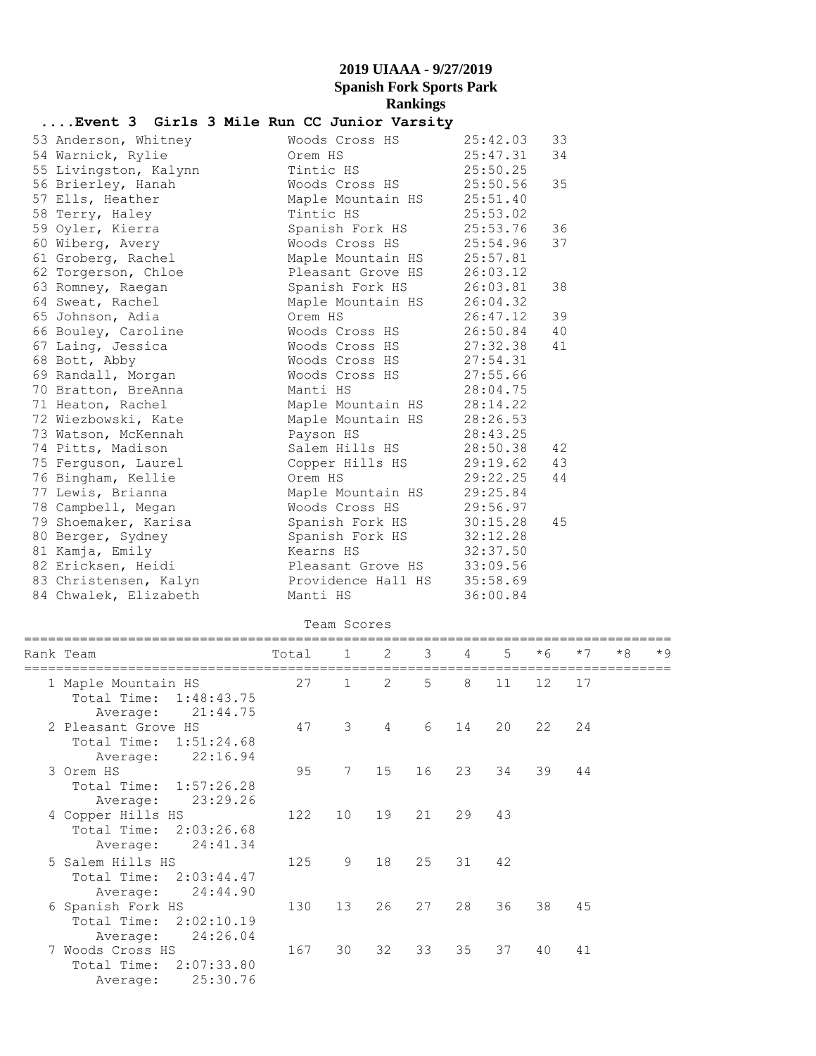## **....Event 3 Girls 3 Mile Run CC Junior Varsity**

| 53 Anderson, Whitney  | Woods Cross HS     | 25:42.03 | 33 |
|-----------------------|--------------------|----------|----|
| 54 Warnick, Rylie     | Orem HS            | 25:47.31 | 34 |
| 55 Livingston, Kalynn | Tintic HS          | 25:50.25 |    |
| 56 Brierley, Hanah    | Woods Cross HS     | 25:50.56 | 35 |
| 57 Ells, Heather      | Maple Mountain HS  | 25:51.40 |    |
| 58 Terry, Haley       | Tintic HS          | 25:53.02 |    |
| 59 Oyler, Kierra      | Spanish Fork HS    | 25:53.76 | 36 |
| 60 Wiberg, Avery      | Woods Cross HS     | 25:54.96 | 37 |
| 61 Groberg, Rachel    | Maple Mountain HS  | 25:57.81 |    |
| 62 Torgerson, Chloe   | Pleasant Grove HS  | 26:03.12 |    |
| 63 Romney, Raegan     | Spanish Fork HS    | 26:03.81 | 38 |
| 64 Sweat, Rachel      | Maple Mountain HS  | 26:04.32 |    |
| 65 Johnson, Adia      | Orem HS            | 26:47.12 | 39 |
| 66 Bouley, Caroline   | Woods Cross HS     | 26:50.84 | 40 |
| 67 Laing, Jessica     | Woods Cross HS     | 27:32.38 | 41 |
| 68 Bott, Abby         | Woods Cross HS     | 27:54.31 |    |
| 69 Randall, Morgan    | Woods Cross HS     | 27:55.66 |    |
| 70 Bratton, BreAnna   | Manti HS           | 28:04.75 |    |
| 71 Heaton, Rachel     | Maple Mountain HS  | 28:14.22 |    |
| 72 Wiezbowski, Kate   | Maple Mountain HS  | 28:26.53 |    |
| 73 Watson, McKennah   | Payson HS          | 28:43.25 |    |
| 74 Pitts, Madison     | Salem Hills HS     | 28:50.38 | 42 |
| 75 Ferguson, Laurel   | Copper Hills HS    | 29:19.62 | 43 |
| 76 Bingham, Kellie    | Orem HS            | 29:22.25 | 44 |
| 77 Lewis, Brianna     | Maple Mountain HS  | 29:25.84 |    |
| 78 Campbell, Megan    | Woods Cross HS     | 29:56.97 |    |
| 79 Shoemaker, Karisa  | Spanish Fork HS    | 30:15.28 | 45 |
| 80 Berger, Sydney     | Spanish Fork HS    | 32:12.28 |    |
| 81 Kamja, Emily       | Kearns HS          | 32:37.50 |    |
| 82 Ericksen, Heidi    | Pleasant Grove HS  | 33:09.56 |    |
| 83 Christensen, Kalyn | Providence Hall HS | 35:58.69 |    |
| 84 Chwalek, Elizabeth | Manti HS           | 36:00.84 |    |

#### Team Scores

|                        | Total                                                                                                                                                                            | 1               | 2             | 3    | 4  | 5              | $*6$ | $*7$ | $*8$ | $*9$ |
|------------------------|----------------------------------------------------------------------------------------------------------------------------------------------------------------------------------|-----------------|---------------|------|----|----------------|------|------|------|------|
|                        |                                                                                                                                                                                  | $\mathbf{1}$    | $\mathcal{L}$ | 5    | 8  | 11             | 12   | 17   |      |      |
| Average: 21:44.75      |                                                                                                                                                                                  |                 |               |      |    |                |      |      |      |      |
|                        | 47                                                                                                                                                                               | 3               | 4             | 6    | 14 | 20             | 22   | 24   |      |      |
| Total Time: 1:51:24.68 |                                                                                                                                                                                  |                 |               |      |    |                |      |      |      |      |
| 22:16.94<br>Average:   |                                                                                                                                                                                  |                 |               |      |    |                |      |      |      |      |
|                        | 95                                                                                                                                                                               |                 |               |      | 23 |                | 39   | 44   |      |      |
| Total Time: 1:57:26.28 |                                                                                                                                                                                  |                 |               |      |    |                |      |      |      |      |
| 23:29.26<br>Average:   |                                                                                                                                                                                  |                 |               |      |    |                |      |      |      |      |
|                        | 122                                                                                                                                                                              | 10 <sup>°</sup> | 19            |      | 29 | 43             |      |      |      |      |
| Total Time: 2:03:26.68 |                                                                                                                                                                                  |                 |               |      |    |                |      |      |      |      |
| 24:41.34<br>Average:   |                                                                                                                                                                                  |                 |               |      |    |                |      |      |      |      |
|                        | 125                                                                                                                                                                              | 9               | 18            | 25   |    | 42             |      |      |      |      |
| Total Time: 2:03:44.47 |                                                                                                                                                                                  |                 |               |      |    |                |      |      |      |      |
| 24:44.90<br>Average:   |                                                                                                                                                                                  |                 |               |      |    |                |      |      |      |      |
|                        | 130                                                                                                                                                                              | 13 <sup>°</sup> | 26            |      | 28 | 36             |      | 45   |      |      |
| Total Time: 2:02:10.19 |                                                                                                                                                                                  |                 |               |      |    |                |      |      |      |      |
| Average: 24:26.04      |                                                                                                                                                                                  |                 |               |      |    |                |      |      |      |      |
|                        | 167                                                                                                                                                                              | 30              | 32            | 33   | 35 | 37             | 40   | 41   |      |      |
| Total Time: 2:07:33.80 |                                                                                                                                                                                  |                 |               |      |    |                |      |      |      |      |
| 25:30.76<br>Average:   |                                                                                                                                                                                  |                 |               |      |    |                |      |      |      |      |
|                        | Rank Team<br>1 Maple Mountain HS<br>Total Time: 1:48:43.75<br>2 Pleasant Grove HS<br>3 Orem HS<br>4 Copper Hills HS<br>5 Salem Hills HS<br>6 Spanish Fork HS<br>7 Woods Cross HS | 27              |               | 7 15 |    | 16<br>21<br>27 | 31   | 34   | 38   |      |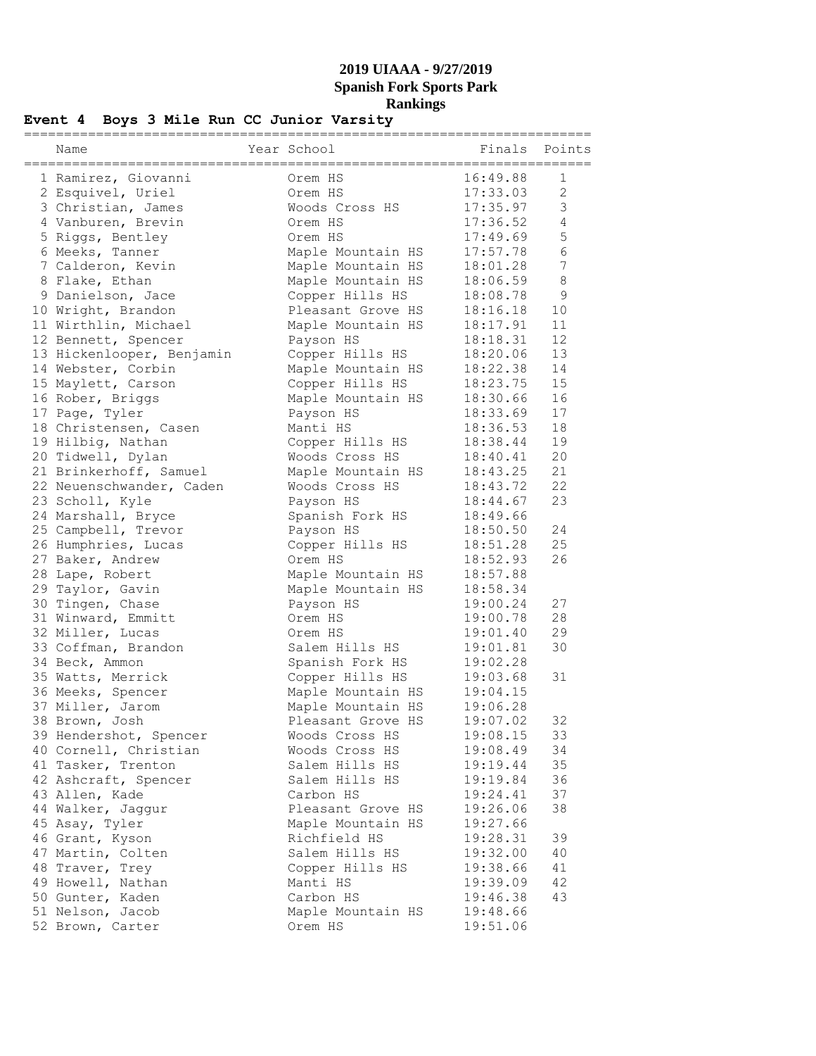## **Event 4 Boys 3 Mile Run CC Junior Varsity**

| Name                                  | Year School               | Finals               | Points       |
|---------------------------------------|---------------------------|----------------------|--------------|
| 1 Ramirez, Giovanni                   | Orem HS                   | 16:49.88             | 1            |
| 2 Esquivel, Uriel                     | Orem HS                   | 17:33.03             | $\mathbf{2}$ |
| 3 Christian, James                    | Woods Cross HS            | 17:35.97             | 3            |
| 4 Vanburen, Brevin                    | Orem HS                   | 17:36.52             | 4            |
| 5 Riggs, Bentley                      | Orem HS                   | 17:49.69             | 5            |
| 6 Meeks, Tanner                       | Maple Mountain HS         | 17:57.78             | 6            |
| 7 Calderon, Kevin                     | Maple Mountain HS         | 18:01.28             | 7            |
| 8 Flake, Ethan                        | Maple Mountain HS         | 18:06.59             | 8            |
| 9 Danielson, Jace                     | Copper Hills HS           | 18:08.78             | $\mathsf 9$  |
| 10 Wright, Brandon                    | Pleasant Grove HS         | 18:16.18             | 10           |
| 11 Wirthlin, Michael                  | Maple Mountain HS         | 18:17.91             | 11           |
| 12 Bennett, Spencer                   | Payson HS                 | 18:18.31             | 12           |
| 13 Hickenlooper, Benjamin             | Copper Hills HS           | 18:20.06             | 13           |
| 14 Webster, Corbin                    | Maple Mountain HS         | 18:22.38             | 14           |
| 15 Maylett, Carson                    | Copper Hills HS           | 18:23.75             | 15           |
| 16 Rober, Briggs                      | Maple Mountain HS         | 18:30.66             | 16           |
| 17 Page, Tyler                        | Payson HS                 | 18:33.69             | 17           |
| 18 Christensen, Casen                 | Manti HS                  | 18:36.53             | 18           |
| 19 Hilbig, Nathan                     | Copper Hills HS           | 18:38.44             | 19           |
| 20 Tidwell, Dylan                     | Woods Cross HS            | 18:40.41             | 20           |
| 21 Brinkerhoff, Samuel                | Maple Mountain HS         | 18:43.25             | 21           |
| 22 Neuenschwander, Caden              | Woods Cross HS            | 18:43.72             | 22           |
| 23 Scholl, Kyle                       | Payson HS                 | 18:44.67             | 23           |
| 24 Marshall, Bryce                    | Spanish Fork HS           | 18:49.66             |              |
| 25 Campbell, Trevor                   | Payson HS                 | 18:50.50             | 24           |
| 26 Humphries, Lucas                   | Copper Hills HS           | 18:51.28             | 25           |
| 27 Baker, Andrew                      | Orem HS                   | 18:52.93             | 26           |
| 28 Lape, Robert                       | Maple Mountain HS         | 18:57.88             |              |
| 29 Taylor, Gavin                      | Maple Mountain HS         | 18:58.34             |              |
| 30 Tingen, Chase                      | Payson HS                 | 19:00.24             | 27<br>28     |
| 31 Winward, Emmitt                    | Orem HS                   | 19:00.78             | 29           |
| 32 Miller, Lucas                      | Orem HS<br>Salem Hills HS | 19:01.40<br>19:01.81 | 30           |
| 33 Coffman, Brandon<br>34 Beck, Ammon | Spanish Fork HS           | 19:02.28             |              |
| 35 Watts, Merrick                     | Copper Hills HS           | 19:03.68             | 31           |
| 36 Meeks, Spencer                     | Maple Mountain HS         | 19:04.15             |              |
| 37 Miller, Jarom                      | Maple Mountain HS         | 19:06.28             |              |
| 38 Brown, Josh                        | Pleasant Grove HS         | 19:07.02             | 32           |
| 39 Hendershot, Spencer                | Woods Cross HS            | 19:08.15             | 33           |
| 40 Cornell, Christian                 | Woods Cross HS            | 19:08.49             | 34           |
| 41 Tasker, Trenton                    | Salem Hills HS            | 19:19.44             | 35           |
| 42 Ashcraft, Spencer                  | Salem Hills HS            | 19:19.84             | 36           |
| 43 Allen, Kade                        | Carbon HS                 | 19:24.41             | 37           |
| 44 Walker, Jaggur                     | Pleasant Grove HS         | 19:26.06             | 38           |
| 45 Asay, Tyler                        | Maple Mountain HS         | 19:27.66             |              |
| 46 Grant, Kyson                       | Richfield HS              | 19:28.31             | 39           |
| 47 Martin, Colten                     | Salem Hills HS            | 19:32.00             | 40           |
| 48 Traver, Trey                       | Copper Hills HS           | 19:38.66             | 41           |
| 49 Howell, Nathan                     | Manti HS                  | 19:39.09             | 42           |
| 50 Gunter, Kaden                      | Carbon HS                 | 19:46.38             | 43           |
| 51 Nelson, Jacob                      | Maple Mountain HS         | 19:48.66             |              |
| 52 Brown, Carter                      | Orem HS                   | 19:51.06             |              |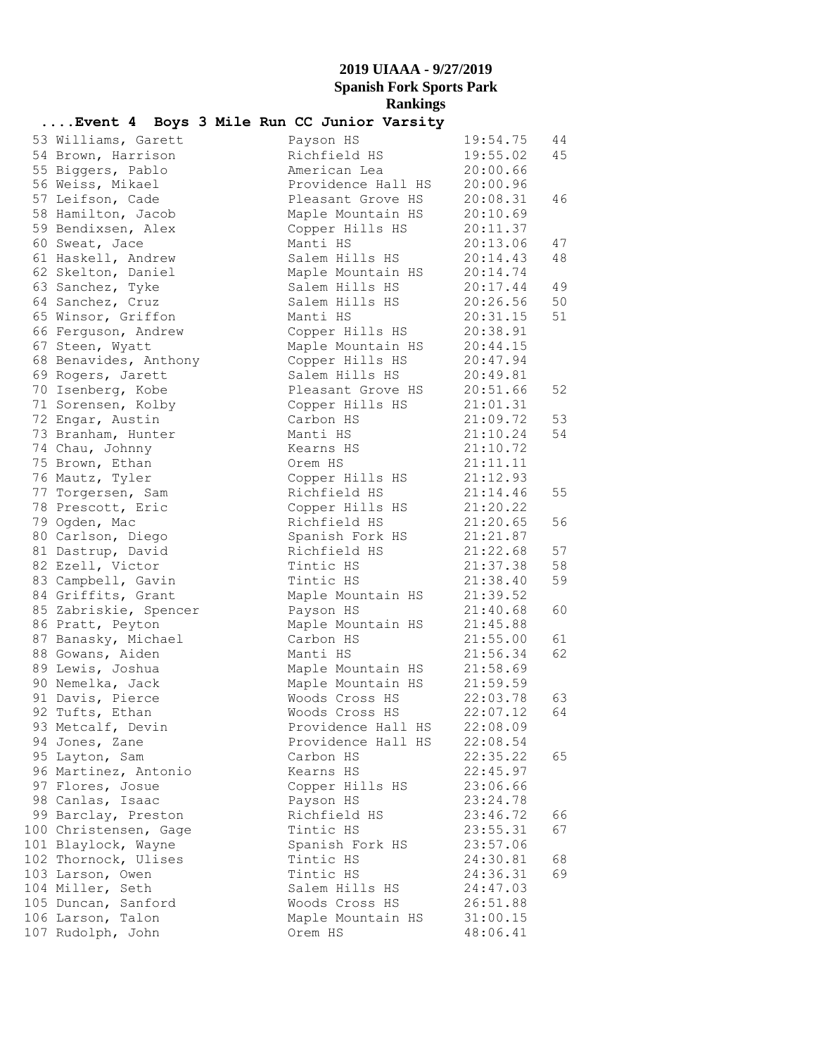| Event 4 Boys 3 Mile Run CC Junior Varsity |          |                    |                    |               |    |
|-------------------------------------------|----------|--------------------|--------------------|---------------|----|
| 53 Williams, Garett                       |          | Payson HS          |                    | 19:54.75      | 44 |
| 54 Brown, Harrison                        |          | Richfield HS       |                    | 19:55.02      | 45 |
| 55 Biggers, Pablo                         |          | American Lea       |                    | 20:00.66      |    |
| 56 Weiss, Mikael                          |          |                    | Providence Hall HS | 20:00.96      |    |
| 57 Leifson, Cade                          |          |                    | Pleasant Grove HS  | 20:08.31      | 46 |
| 58 Hamilton, Jacob                        |          |                    | Maple Mountain HS  | 20:10.69      |    |
| 59 Bendixsen, Alex                        |          | Copper Hills HS    |                    | 20:11.37      |    |
| 60 Sweat, Jace                            | Manti HS |                    |                    | 20:13.06      | 47 |
| 61 Haskell, Andrew                        |          | Salem Hills HS     |                    | 20:14.43      | 48 |
| 62 Skelton, Daniel                        |          | Maple Mountain HS  |                    | 20:14.74      |    |
| 63 Sanchez, Tyke                          |          | Salem Hills HS     |                    | 20:17.44      | 49 |
| 64 Sanchez, Cruz                          |          | Salem Hills HS     |                    | 20:26.56      | 50 |
| 65 Winsor, Griffon                        | Manti HS |                    |                    | 20:31.15      | 51 |
| 66 Ferguson, Andrew                       |          | Copper Hills HS    |                    | 20:38.91      |    |
| 67 Steen, Wyatt                           |          | Maple Mountain HS  |                    | 20:44.15      |    |
| 68 Benavides, Anthony                     |          | Copper Hills HS    |                    | 20:47.94      |    |
| 69 Rogers, Jarett                         |          | Salem Hills HS     |                    | 20:49.81      |    |
| 70 Isenberg, Kobe                         |          | Pleasant Grove HS  |                    | 20:51.66      | 52 |
| 71 Sorensen, Kolby                        |          | Copper Hills HS    |                    | 21:01.31      |    |
| 72 Engar, Austin                          |          | Carbon HS          |                    | 21:09.72      | 53 |
| 73 Branham, Hunter                        |          | Manti HS           |                    | 21:10.24      | 54 |
| 74 Chau, Johnny                           |          | Kearns HS          |                    | 21:10.72      |    |
| 75 Brown, Ethan                           | Orem HS  |                    |                    | 21:11.11      |    |
| 76 Mautz, Tyler                           |          | Copper Hills HS    |                    | 21:12.93      |    |
| 77 Torgersen, Sam                         |          | Richfield HS       |                    | 21:14.46      | 55 |
| 78 Prescott, Eric                         |          | Copper Hills HS    |                    | 21:20.22      |    |
| 79 Ogden, Mac                             |          | Richfield HS       |                    | 21:20.65      | 56 |
| 80 Carlson, Diego                         |          | Spanish Fork HS    |                    | 21:21.87      |    |
| 81 Dastrup, David                         |          | Richfield HS       |                    | 21:22.68      | 57 |
| 82 Ezell, Victor                          |          | Tintic HS          |                    | 21:37.38      | 58 |
| 83 Campbell, Gavin                        |          | Tintic HS          |                    | 21:38.40      | 59 |
| 84 Griffits, Grant                        |          | Maple Mountain HS  |                    | 21:39.52      |    |
| 85 Zabriskie, Spencer                     |          | Payson HS          |                    | 21:40.68      | 60 |
| 86 Pratt, Peyton                          |          | Maple Mountain HS  |                    | 21:45.88      |    |
| 87 Banasky, Michael                       |          | Carbon HS          |                    | 21:55.00      | 61 |
| 88 Gowans, Aiden                          | Manti HS |                    |                    | 21:56.34      | 62 |
| 89 Lewis, Joshua                          |          | Maple Mountain HS  |                    | 21:58.69      |    |
| 90 Nemelka, Jack                          |          | Maple Mountain HS  |                    | 21:59.59      |    |
| 91 Davis, Pierce                          |          | Woods Cross HS     |                    | 22:03.78      | 63 |
| 92 Tufts, Ethan                           |          | Woods Cross HS     |                    | $22:07.12$ 64 |    |
| 93 Metcalf, Devin                         |          |                    | Providence Hall HS | 22:08.09      |    |
| 94 Jones, Zane                            |          | Providence Hall HS |                    | 22:08.54      |    |
| 95 Layton, Sam                            |          | Carbon HS          |                    | 22:35.22      | 65 |
| 96 Martinez, Antonio                      |          | Kearns HS          |                    | 22:45.97      |    |
| 97 Flores, Josue                          |          | Copper Hills HS    |                    | 23:06.66      |    |
| 98 Canlas, Isaac                          |          | Payson HS          |                    | 23:24.78      |    |
| 99 Barclay, Preston                       |          | Richfield HS       |                    | 23:46.72      | 66 |
| 100 Christensen, Gage                     |          | Tintic HS          |                    | 23:55.31      | 67 |
| 101 Blaylock, Wayne                       |          | Spanish Fork HS    |                    | 23:57.06      |    |
| 102 Thornock, Ulises                      |          | Tintic HS          |                    | 24:30.81      | 68 |
| 103 Larson, Owen                          |          | Tintic HS          |                    | 24:36.31      | 69 |
| 104 Miller, Seth                          |          | Salem Hills HS     |                    | 24:47.03      |    |
| 105 Duncan, Sanford                       |          | Woods Cross HS     |                    | 26:51.88      |    |
| 106 Larson, Talon                         |          | Maple Mountain HS  |                    | 31:00.15      |    |
| 107 Rudolph, John                         | Orem HS  |                    |                    | 48:06.41      |    |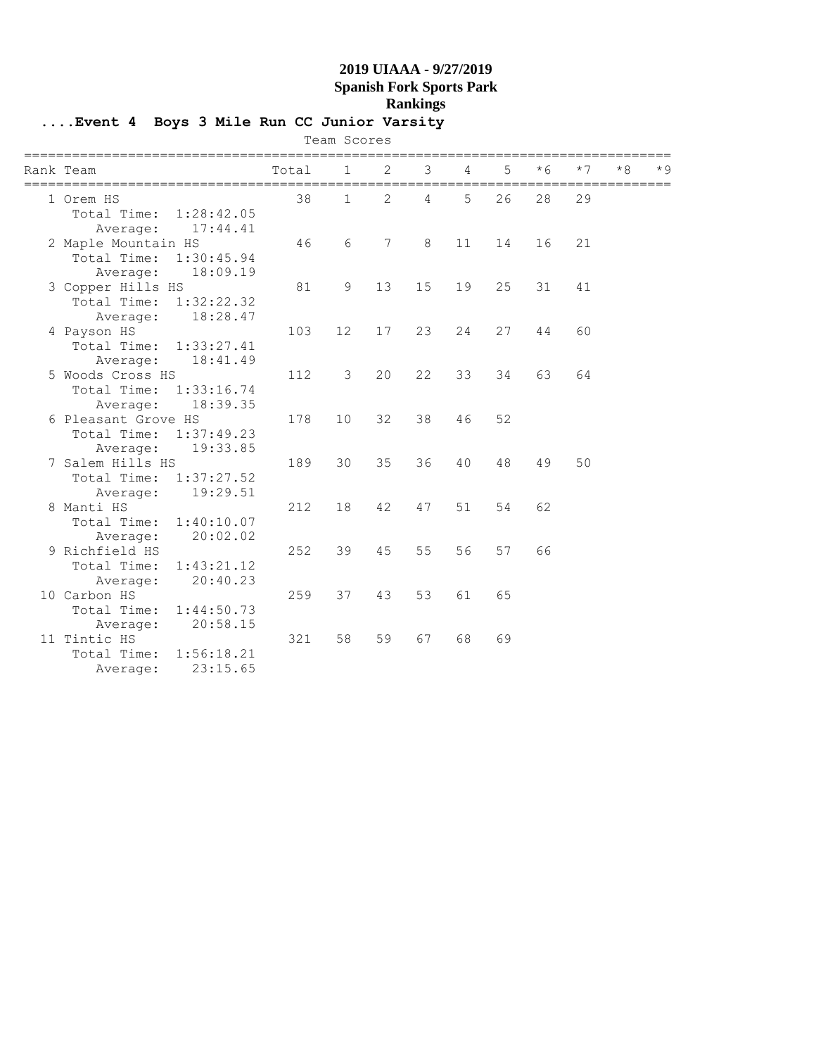**....Event 4 Boys 3 Mile Run CC Junior Varsity**

|  |                     |                        |       | Team Scores |    |    |                            |    |     |      |     |     |
|--|---------------------|------------------------|-------|-------------|----|----|----------------------------|----|-----|------|-----|-----|
|  | Rank Team           | ---------------------- | Total | 1           | 2  | 3  | ---------------------<br>4 | 5  | * 6 | $*7$ | * 8 | * 9 |
|  | 1 Orem HS           |                        | 38    | 1           | 2  | 4  | 5                          | 26 | 28  | 29   |     |     |
|  | Total Time:         | 1:28:42.05             |       |             |    |    |                            |    |     |      |     |     |
|  | Average:            | 17:44.41               |       |             |    |    |                            |    |     |      |     |     |
|  | 2 Maple Mountain HS |                        | 46    | 6           | 7  | 8  | 11                         | 14 | 16  | 21   |     |     |
|  | Total Time:         | 1:30:45.94             |       |             |    |    |                            |    |     |      |     |     |
|  | Average:            | 18:09.19               |       |             |    |    |                            |    |     |      |     |     |
|  | 3 Copper Hills HS   |                        | 81    | 9           | 13 | 15 | 19                         | 25 | 31  | 41   |     |     |
|  | Total Time:         | 1:32:22.32             |       |             |    |    |                            |    |     |      |     |     |
|  | Average:            | 18:28.47               |       |             |    |    |                            |    |     |      |     |     |
|  | 4 Payson HS         |                        | 103   | 12          | 17 | 23 | 24                         | 27 | 44  | 60   |     |     |
|  | Total Time:         | 1:33:27.41             |       |             |    |    |                            |    |     |      |     |     |
|  | Average:            | 18:41.49               |       |             |    |    |                            |    |     |      |     |     |
|  | 5 Woods Cross HS    |                        | 112   | 3           | 20 | 22 | 33                         | 34 | 63  | 64   |     |     |
|  | Total Time:         | 1:33:16.74             |       |             |    |    |                            |    |     |      |     |     |
|  | Average:            | 18:39.35               |       |             |    |    |                            |    |     |      |     |     |
|  | 6 Pleasant Grove HS |                        | 178   | 10          | 32 | 38 | 46                         | 52 |     |      |     |     |
|  | Total Time:         | 1:37:49.23             |       |             |    |    |                            |    |     |      |     |     |
|  | Average:            | 19:33.85               |       |             |    |    |                            |    |     |      |     |     |
|  | 7 Salem Hills HS    |                        | 189   | 30          | 35 | 36 | 40                         | 48 | 49  | 50   |     |     |
|  | Total Time:         | 1:37:27.52             |       |             |    |    |                            |    |     |      |     |     |
|  | Average:            | 19:29.51               |       |             |    |    |                            |    |     |      |     |     |
|  | 8 Manti HS          |                        | 212   | 18          | 42 | 47 | 51                         | 54 | 62  |      |     |     |
|  | Total Time:         | 1:40:10.07             |       |             |    |    |                            |    |     |      |     |     |
|  | Average:            | 20:02.02               |       |             |    |    |                            |    |     |      |     |     |
|  | 9 Richfield HS      |                        | 252   | 39          | 45 | 55 | 56                         | 57 | 66  |      |     |     |
|  | Total Time:         | 1:43:21.12             |       |             |    |    |                            |    |     |      |     |     |
|  | Average:            | 20:40.23               |       |             |    |    |                            |    |     |      |     |     |
|  | 10 Carbon HS        |                        | 259   | 37          | 43 | 53 | 61                         | 65 |     |      |     |     |
|  | Total Time:         | 1:44:50.73             |       |             |    |    |                            |    |     |      |     |     |
|  | Average:            | 20:58.15               |       |             |    |    |                            |    |     |      |     |     |
|  | 11 Tintic HS        |                        | 321   | 58          | 59 | 67 | 68                         | 69 |     |      |     |     |
|  | Total Time:         | 1:56:18.21             |       |             |    |    |                            |    |     |      |     |     |
|  | Average:            | 23:15.65               |       |             |    |    |                            |    |     |      |     |     |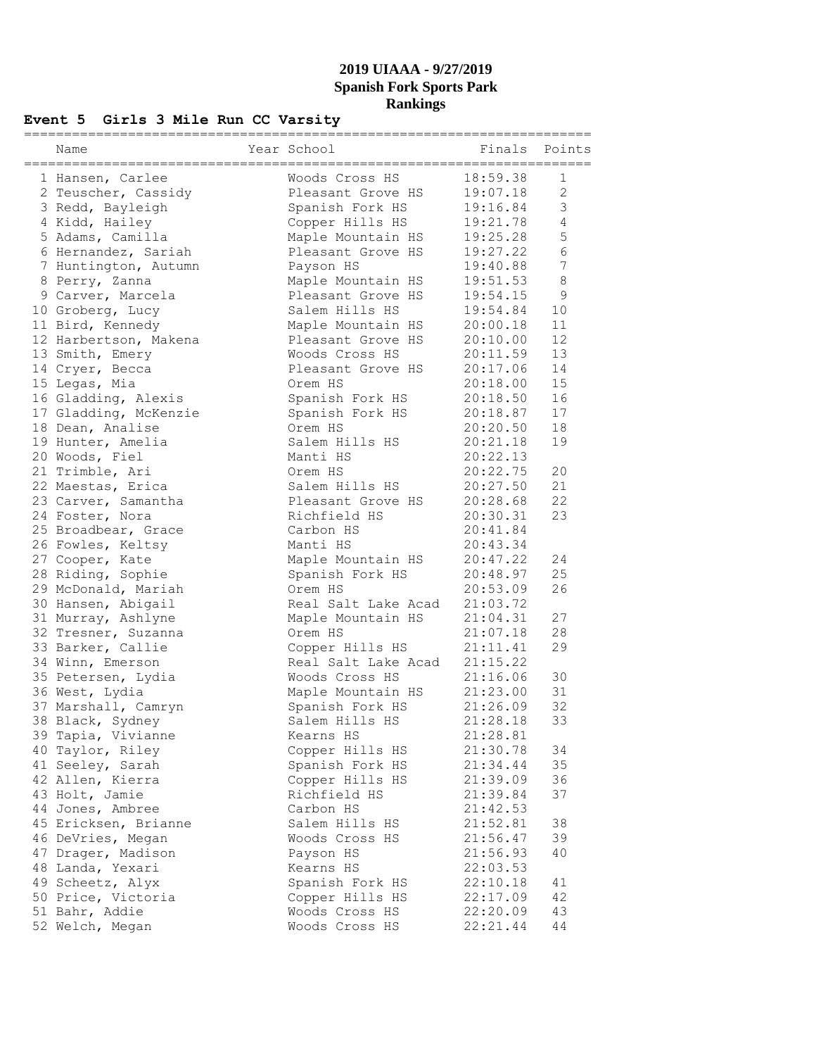## **Event 5 Girls 3 Mile Run CC Varsity**

| Name                  | Year School         | Finals   | Points         |
|-----------------------|---------------------|----------|----------------|
| 1 Hansen, Carlee      | Woods Cross HS      | 18:59.38 | 1              |
| 2 Teuscher, Cassidy   | Pleasant Grove HS   | 19:07.18 | $\overline{2}$ |
| 3 Redd, Bayleigh      | Spanish Fork HS     | 19:16.84 | 3              |
| 4 Kidd, Hailey        | Copper Hills HS     | 19:21.78 | $\overline{4}$ |
| 5 Adams, Camilla      | Maple Mountain HS   | 19:25.28 | 5              |
| 6 Hernandez, Sariah   | Pleasant Grove HS   | 19:27.22 | 6              |
| 7 Huntington, Autumn  | Payson HS           | 19:40.88 | 7              |
| 8 Perry, Zanna        | Maple Mountain HS   | 19:51.53 | 8              |
| 9 Carver, Marcela     | Pleasant Grove HS   | 19:54.15 | 9              |
| 10 Groberg, Lucy      | Salem Hills HS      | 19:54.84 | 10             |
| 11 Bird, Kennedy      | Maple Mountain HS   | 20:00.18 | 11             |
| 12 Harbertson, Makena | Pleasant Grove HS   | 20:10.00 | 12             |
| 13 Smith, Emery       | Woods Cross HS      | 20:11.59 | 13             |
| 14 Cryer, Becca       | Pleasant Grove HS   | 20:17.06 | 14             |
| 15 Legas, Mia         | Orem HS             | 20:18.00 | 15             |
| 16 Gladding, Alexis   | Spanish Fork HS     | 20:18.50 | 16             |
| 17 Gladding, McKenzie | Spanish Fork HS     | 20:18.87 | 17             |
| 18 Dean, Analise      | Orem HS             | 20:20.50 | 18             |
| 19 Hunter, Amelia     | Salem Hills HS      | 20:21.18 | 19             |
| 20 Woods, Fiel        | Manti HS            | 20:22.13 |                |
| 21 Trimble, Ari       | Orem HS             | 20:22.75 | 20             |
| 22 Maestas, Erica     | Salem Hills HS      | 20:27.50 | 21             |
| 23 Carver, Samantha   | Pleasant Grove HS   | 20:28.68 | 22             |
| 24 Foster, Nora       | Richfield HS        | 20:30.31 | 23             |
| 25 Broadbear, Grace   | Carbon HS           | 20:41.84 |                |
| 26 Fowles, Keltsy     | Manti HS            | 20:43.34 |                |
| 27 Cooper, Kate       | Maple Mountain HS   | 20:47.22 | 24             |
| 28 Riding, Sophie     | Spanish Fork HS     | 20:48.97 | 25             |
| 29 McDonald, Mariah   | Orem HS             | 20:53.09 | 26             |
| 30 Hansen, Abigail    | Real Salt Lake Acad | 21:03.72 |                |
| 31 Murray, Ashlyne    | Maple Mountain HS   | 21:04.31 | 27             |
| 32 Tresner, Suzanna   | Orem HS             | 21:07.18 | 28             |
| 33 Barker, Callie     | Copper Hills HS     | 21:11.41 | 29             |
| 34 Winn, Emerson      | Real Salt Lake Acad | 21:15.22 |                |
| 35 Petersen, Lydia    | Woods Cross HS      | 21:16.06 | 30             |
| 36 West, Lydia        | Maple Mountain HS   | 21:23.00 | 31             |
| 37 Marshall, Camryn   | Spanish Fork HS     | 21:26.09 | 32             |
| 38 Black, Sydney      | Salem Hills HS      | 21:28.18 | 33             |
| 39 Tapia, Vivianne    | Kearns HS           | 21:28.81 |                |
| 40 Taylor, Riley      | Copper Hills HS     | 21:30.78 | 34             |
| 41 Seeley, Sarah      | Spanish Fork HS     | 21:34.44 | 35             |
| 42 Allen, Kierra      | Copper Hills HS     | 21:39.09 | 36             |
| 43 Holt, Jamie        | Richfield HS        | 21:39.84 | 37             |
| 44 Jones, Ambree      | Carbon HS           | 21:42.53 |                |
| 45 Ericksen, Brianne  | Salem Hills HS      | 21:52.81 | 38             |
| 46 DeVries, Megan     | Woods Cross HS      | 21:56.47 | 39             |
| 47 Drager, Madison    | Payson HS           | 21:56.93 | 40             |
| 48 Landa, Yexari      | Kearns HS           | 22:03.53 |                |
| 49 Scheetz, Alyx      | Spanish Fork HS     | 22:10.18 | 41             |
| 50 Price, Victoria    | Copper Hills HS     | 22:17.09 | 42             |
| 51 Bahr, Addie        | Woods Cross HS      | 22:20.09 | 43             |
| 52 Welch, Megan       | Woods Cross HS      | 22:21.44 | 44             |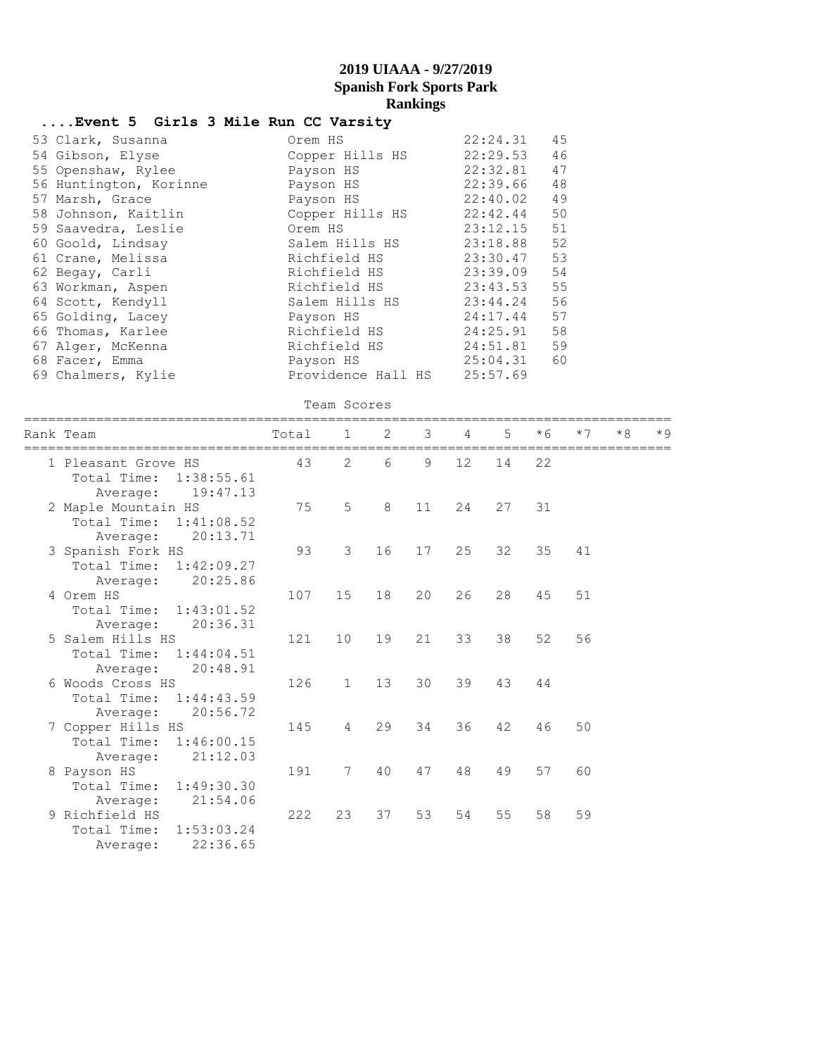| Event 5 Girls 3 Mile Run CC Varsity |                    |          |    |
|-------------------------------------|--------------------|----------|----|
| 53 Clark, Susanna                   | Orem HS            | 22:24.31 | 45 |
| 54 Gibson, Elyse                    | Copper Hills HS    | 22:29.53 | 46 |
| 55 Openshaw, Rylee                  | Payson HS          | 22:32.81 | 47 |
| 56 Huntington, Korinne              | Payson HS          | 22:39.66 | 48 |
| 57 Marsh, Grace                     | Payson HS          | 22:40.02 | 49 |
| 58 Johnson, Kaitlin                 | Copper Hills HS    | 22:42.44 | 50 |
| 59 Saavedra, Leslie                 | Orem HS            | 23:12.15 | 51 |
| 60 Goold, Lindsay                   | Salem Hills HS     | 23:18.88 | 52 |
| 61 Crane, Melissa                   | Richfield HS       | 23:30.47 | 53 |
| 62 Begay, Carli                     | Richfield HS       | 23:39.09 | 54 |
| 63 Workman, Aspen                   | Richfield HS       | 23:43.53 | 55 |
| 64 Scott, Kendyll                   | Salem Hills HS     | 23:44.24 | 56 |
| 65 Golding, Lacey                   | Payson HS          | 24:17.44 | 57 |
| 66 Thomas, Karlee                   | Richfield HS       | 24:25.91 | 58 |
| 67 Alger, McKenna                   | Richfield HS       | 24:51.81 | 59 |
| 68 Facer, Emma                      | Payson HS          | 25:04.31 | 60 |
| 69 Chalmers, Kylie                  | Providence Hall HS | 25:57.69 |    |

|                                                                          |       | Team Scores     |    |    |    |    |      |      |      |      |
|--------------------------------------------------------------------------|-------|-----------------|----|----|----|----|------|------|------|------|
| Rank Team                                                                | Total | $\mathbf{1}$    | 2  | 3  | 4  | 5  | $*6$ | $*7$ | $*8$ | $*9$ |
| 1 Pleasant Grove HS<br>Total Time: 1:38:55.61<br>19:47.13<br>Average:    | 43    | $\overline{2}$  | 6  | 9  | 12 | 14 | 22   |      |      |      |
| 2 Maple Mountain HS<br>Total Time:<br>1:41:08.52<br>20:13.71<br>Average: | 75    | 5               | 8  | 11 | 24 | 27 | 31   |      |      |      |
| 3 Spanish Fork HS<br>Total Time:<br>1:42:09.27<br>20:25.86<br>Average:   | 93    | 3               | 16 | 17 | 25 | 32 | 35   | 41   |      |      |
| 4 Orem HS<br>Total Time: 1:43:01.52<br>20:36.31<br>Average:              | 107   | 15              | 18 | 20 | 26 | 28 | 45   | 51   |      |      |
| 5 Salem Hills HS<br>Total Time: 1:44:04.51<br>20:48.91<br>Average:       | 121   | 10 <sup>°</sup> | 19 | 21 | 33 | 38 | 52   | 56   |      |      |
| 6 Woods Cross HS<br>Total Time:<br>1:44:43.59<br>20:56.72<br>Average:    | 126   | $\mathbf{1}$    | 13 | 30 | 39 | 43 | 44   |      |      |      |
| 7 Copper Hills HS<br>Total Time:<br>1:46:00.15<br>21:12.03<br>Average:   | 145   | 4               | 29 | 34 | 36 | 42 | 46   | 50   |      |      |
| 8 Payson HS<br>Total Time: 1:49:30.30<br>21:54.06<br>Average:            | 191   | 7               | 40 | 47 | 48 | 49 | 57   | 60   |      |      |
| 9 Richfield HS<br>1:53:03.24<br>Total Time:                              | 222   | 23              | 37 | 53 | 54 | 55 | 58   | 59   |      |      |

Average: 22:36.65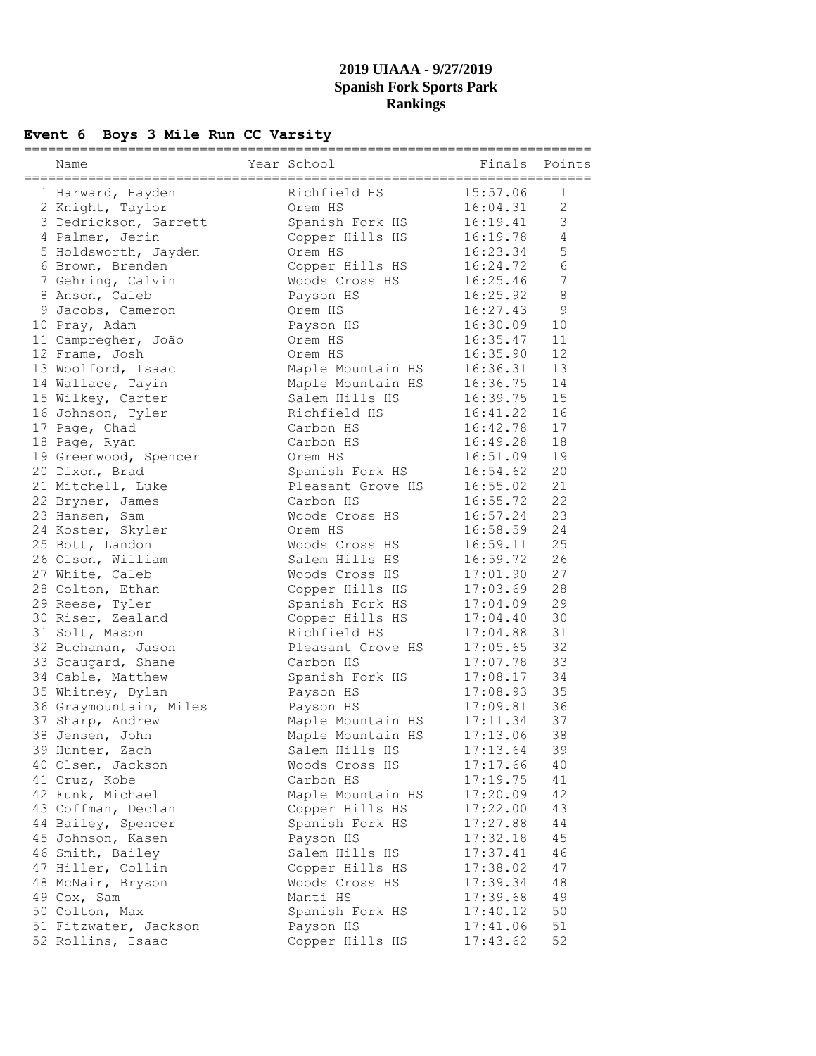# **Event 6 Boys 3 Mile Run CC Varsity**

| Name<br>===========    | ============= | Year School<br>======================== |                      | Finals Points  |
|------------------------|---------------|-----------------------------------------|----------------------|----------------|
| 1 Harward, Hayden      |               | Richfield HS                            | 15:57.06             | 1              |
| 2 Knight, Taylor       |               | Orem HS                                 | 16:04.31             | $\mathbf{2}$   |
| 3 Dedrickson, Garrett  |               | Spanish Fork HS                         | 16:19.41             | $\mathfrak{Z}$ |
| 4 Palmer, Jerin        |               | Copper Hills HS                         | 16:19.78             | $\overline{4}$ |
| 5 Holdsworth, Jayden   |               | Orem HS                                 | 16:23.34             | 5              |
| 6 Brown, Brenden       |               | Copper Hills HS                         | 16:24.72             | $6\,$          |
| 7 Gehring, Calvin      |               | Woods Cross HS                          | 16:25.46             | 7              |
| 8 Anson, Caleb         |               | Payson HS                               | 16:25.92             | $\,8\,$        |
| 9 Jacobs, Cameron      |               | Orem HS                                 | 16:27.43             | 9              |
| 10 Pray, Adam          |               | Payson HS                               | 16:30.09             | 10             |
| 11 Campregher, João    |               | Orem HS                                 | 16:35.47             | 11             |
| 12 Frame, Josh         |               | Orem HS                                 | 16:35.90             | 12             |
|                        |               |                                         | 16:36.31             | 13             |
| 13 Woolford, Isaac     |               | Maple Mountain HS                       | 16:36.75             | 14             |
| 14 Wallace, Tayin      |               | Maple Mountain HS<br>Salem Hills HS     |                      | 15             |
| 15 Wilkey, Carter      |               | Richfield HS                            | 16:39.75<br>16:41.22 | 16             |
| 16 Johnson, Tyler      |               |                                         | 16:42.78             |                |
| 17 Page, Chad          |               | Carbon HS                               |                      | 17             |
| 18 Page, Ryan          |               | Carbon HS                               | 16:49.28             | 18             |
| 19 Greenwood, Spencer  |               | Orem HS                                 | 16:51.09             | 19             |
| 20 Dixon, Brad         |               | Spanish Fork HS                         | 16:54.62             | 20             |
| 21 Mitchell, Luke      |               | Pleasant Grove HS                       | 16:55.02             | 21             |
| 22 Bryner, James       |               | Carbon HS                               | 16:55.72             | 22             |
| 23 Hansen, Sam         |               | Woods Cross HS                          | 16:57.24             | 23             |
| 24 Koster, Skyler      |               | Orem HS                                 | 16:58.59             | 24             |
| 25 Bott, Landon        |               | Woods Cross HS                          | 16:59.11             | 25             |
| 26 Olson, William      |               | Salem Hills HS                          | 16:59.72             | 26             |
| 27 White, Caleb        |               | Woods Cross HS                          | 17:01.90             | 27             |
| 28 Colton, Ethan       |               | Copper Hills HS                         | 17:03.69             | 28             |
| 29 Reese, Tyler        |               | Spanish Fork HS                         | 17:04.09             | 29             |
| 30 Riser, Zealand      |               | Copper Hills HS                         | 17:04.40             | 30             |
| 31 Solt, Mason         |               | Richfield HS                            | 17:04.88             | 31             |
| 32 Buchanan, Jason     |               | Pleasant Grove HS                       | 17:05.65             | 32             |
| 33 Scaugard, Shane     |               | Carbon HS                               | 17:07.78             | 33             |
| 34 Cable, Matthew      |               | Spanish Fork HS                         | 17:08.17             | 34             |
| 35 Whitney, Dylan      |               | Payson HS                               | 17:08.93             | 35             |
| 36 Graymountain, Miles |               | Payson HS                               | 17:09.81             | 36             |
| 37 Sharp, Andrew       |               | Maple Mountain HS                       | 17:11.34             | 37             |
| 38 Jensen, John        |               | Maple Mountain HS                       | 17:13.06             | 38             |
| 39 Hunter, Zach        |               | Salem Hills HS                          | 17:13.64             | 39             |
| 40 Olsen, Jackson      |               | Woods Cross HS                          | 17:17.66             | 40             |
| 41 Cruz, Kobe          |               | Carbon HS                               | 17:19.75             | 41             |
| 42 Funk, Michael       |               | Maple Mountain HS                       | 17:20.09             | 42             |
| 43 Coffman, Declan     |               | Copper Hills HS                         | 17:22.00             | 43             |
| 44 Bailey, Spencer     |               | Spanish Fork HS                         | 17:27.88             | 44             |
| 45 Johnson, Kasen      |               | Payson HS                               | 17:32.18             | 45             |
| 46 Smith, Bailey       |               | Salem Hills HS                          | 17:37.41             | 46             |
| 47 Hiller, Collin      |               | Copper Hills HS                         | 17:38.02             | 47             |
| 48 McNair, Bryson      |               | Woods Cross HS                          | 17:39.34             | 48             |
| 49 Cox, Sam            |               | Manti HS                                | 17:39.68             | 49             |
| 50 Colton, Max         |               | Spanish Fork HS                         | 17:40.12             | 50             |
| 51 Fitzwater, Jackson  |               | Payson HS                               | 17:41.06             | 51             |
| 52 Rollins, Isaac      |               | Copper Hills HS                         | 17:43.62             | 52             |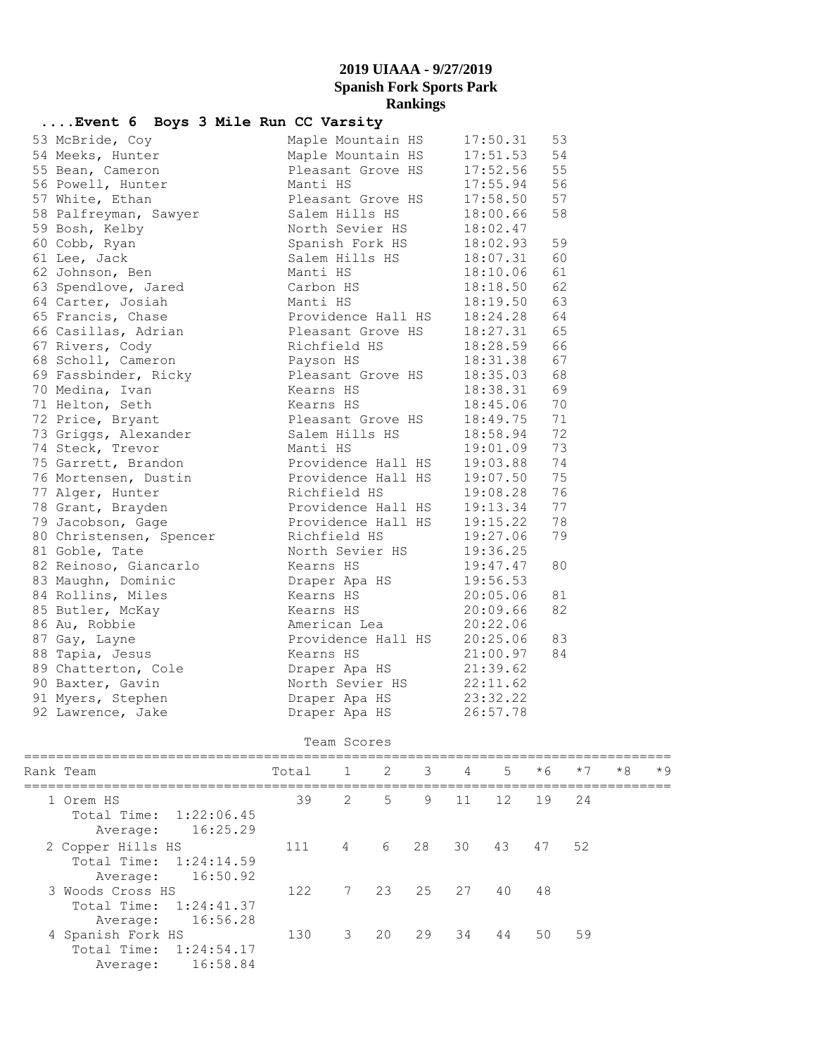| Event 6 Boys 3 Mile Run CC Varsity |                          |                      |    |
|------------------------------------|--------------------------|----------------------|----|
| 53 McBride, Coy                    | Maple Mountain HS        | 17:50.31             | 53 |
| 54 Meeks, Hunter                   | Maple Mountain HS        | $17:51.53$ 54        |    |
| 55 Bean, Cameron                   | Pleasant Grove HS        | 17:52.56             | 55 |
| 56 Powell, Hunter                  | Manti HS                 | 17:55.94             | 56 |
| 57 White, Ethan                    | Pleasant Grove HS        | 17:58.50             | 57 |
| 58 Palfreyman, Sawyer              | Salem Hills HS           | 18:00.66             | 58 |
| 59 Bosh, Kelby                     | North Sevier HS          | 18:02.47             |    |
| 60 Cobb, Ryan                      | Spanish Fork HS          | 18:02.93             | 59 |
| 61 Lee, Jack                       | Salem Hills HS           | 18:07.31             | 60 |
| 62 Johnson, Ben                    | Manti HS                 | 18:10.06             | 61 |
| 63 Spendlove, Jared                | Carbon HS                | 18:18.50             | 62 |
| 64 Carter, Josiah                  | Manti HS                 | 18:19.50             | 63 |
| 65 Francis, Chase                  | Providence Hall HS       | 18:24.28             | 64 |
| 66 Casillas, Adrian                | Pleasant Grove HS        | $18:27.31$ 65        |    |
| 67 Rivers, Cody                    | Richfield HS             | 18:28.59 66          |    |
| 68 Scholl, Cameron                 | Payson HS                | 18:31.38             | 67 |
| 69 Fassbinder, Ricky               | Pleasant Grove HS        | 18:35.03             | 68 |
| 70 Medina, Ivan                    | Kearns HS                | 18:38.31             | 69 |
| 71 Helton, Seth                    | Kearns HS                |                      | 70 |
| 72 Price, Bryant                   | Pleasant Grove HS        | 18:45.06<br>18:49.75 | 71 |
| 73 Griggs, Alexander               | Salem Hills HS           | 18:58.94             | 72 |
| 74 Steck, Trevor                   | Manti HS                 | 19:01.09             | 73 |
| 75 Garrett, Brandon                | Providence Hall HS       | 19:03.88             | 74 |
| 76 Mortensen, Dustin               | Providence Hall HS       |                      | 75 |
| 77 Alger, Hunter                   | Richfield HS             | 19:07.50<br>19:08.28 | 76 |
| 78 Grant, Brayden                  | Providence Hall HS       | 19:13.34             | 77 |
| 79 Jacobson, Gage                  | Providence Hall HS       | 19:15.22             | 78 |
| 80 Christensen, Spencer            | Richfield HS             | 19:27.06             | 79 |
| 81 Goble, Tate                     | North Sevier HS          | 19:36.25             |    |
| 82 Reinoso, Giancarlo              | Kearns HS                | 19:47.47             | 80 |
| 83 Maughn, Dominic                 | Draper Apa HS            | 19:56.53             |    |
| 84 Rollins, Miles                  | Kearns HS                | 20:05.06             | 81 |
| 85 Butler, McKay                   | Kearns HS                | 20:09.66             | 82 |
| 86 Au, Robbie                      | American Lea             | 20:22.06             |    |
| 87 Gay, Layne                      | Providence Hall HS       | 20:25.06             | 83 |
| 88 Tapia, Jesus                    | Kearns HS                | 21:00.97             | 84 |
| 89 Chatterton, Cole                | Draper Apa HS 21:39.62   |                      |    |
| 90 Baxter, Gavin                   | North Sevier HS 22:11.62 |                      |    |
| 91 Myers, Stephen                  | Draper Apa $\text{HS}$   | 23:32.22             |    |
| 92 Lawrence, Jake                  | Draper Apa HS            | 26:57.78             |    |

#### Team Scores

| Rank Team                                                             | Total |                |    | 1 2 3 4 |    | 5 <sup>5</sup> | $*6$  | $*7$ | $*8$ | $*9$ |
|-----------------------------------------------------------------------|-------|----------------|----|---------|----|----------------|-------|------|------|------|
| 1 Orem HS<br>Total Time: 1:22:06.45<br>16:25.29<br>Average:           | 39    | 2              | .5 | 9       | 11 | 12             | 19    | 24   |      |      |
| 2 Copper Hills HS<br>Total Time: 1:24:14.59<br>16:50.92<br>Average:   | 111   | $\overline{4}$ |    | 6 28    | 30 | 43             | 47 52 |      |      |      |
| 3 Woods Cross HS<br>Total Time:<br>1:24:41.37<br>16:56.28<br>Average: | 122   |                |    | 7 23 25 | 27 | 40             | 48    |      |      |      |
| 4 Spanish Fork HS<br>Total Time: 1:24:54.17<br>16:58.84<br>Average:   | 130   | 3              | 20 | 29      | 34 | 44             | 50    | 59   |      |      |